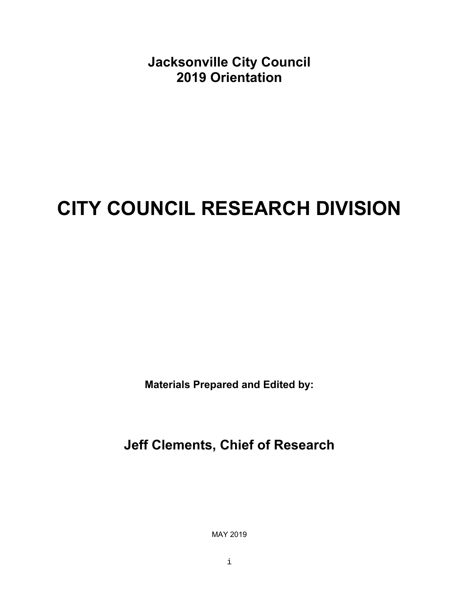**Jacksonville City Council 2019 Orientation** 

### **CITY COUNCIL RESEARCH DIVISION**

**Materials Prepared and Edited by:** 

**Jeff Clements, Chief of Research** 

MAY 2019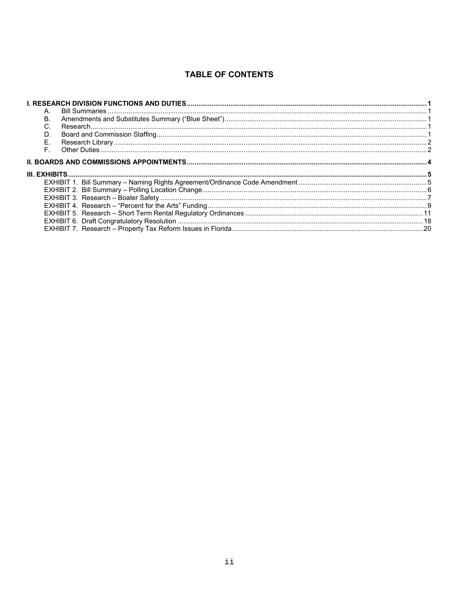### **TABLE OF CONTENTS**

| А.          |  |
|-------------|--|
| Β.          |  |
| C.          |  |
| D.          |  |
| Ε.          |  |
| $F_{\perp}$ |  |
|             |  |
|             |  |
|             |  |
|             |  |
|             |  |
|             |  |
|             |  |
|             |  |
|             |  |
|             |  |
|             |  |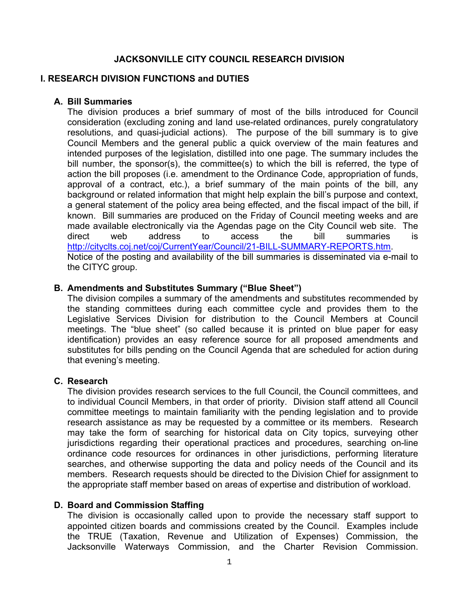### **JACKSONVILLE CITY COUNCIL RESEARCH DIVISION**

### **I. RESEARCH DIVISION FUNCTIONS and DUTIES**

### **A. Bill Summaries**

The division produces a brief summary of most of the bills introduced for Council consideration (excluding zoning and land use-related ordinances, purely congratulatory resolutions, and quasi-judicial actions). The purpose of the bill summary is to give Council Members and the general public a quick overview of the main features and intended purposes of the legislation, distilled into one page. The summary includes the bill number, the sponsor(s), the committee(s) to which the bill is referred, the type of action the bill proposes (i.e. amendment to the Ordinance Code, appropriation of funds, approval of a contract, etc.), a brief summary of the main points of the bill, any background or related information that might help explain the bill's purpose and context, a general statement of the policy area being effected, and the fiscal impact of the bill, if known. Bill summaries are produced on the Friday of Council meeting weeks and are made available electronically via the Agendas page on the City Council web site. The direct web address to access the bill summaries is http://cityclts.coj.net/coj/CurrentYear/Council/21-BILL-SUMMARY-REPORTS.htm. Notice of the posting and availability of the bill summaries is disseminated via e-mail to the CITYC group.

### **B. Amendments and Substitutes Summary ("Blue Sheet")**

The division compiles a summary of the amendments and substitutes recommended by the standing committees during each committee cycle and provides them to the Legislative Services Division for distribution to the Council Members at Council meetings. The "blue sheet" (so called because it is printed on blue paper for easy identification) provides an easy reference source for all proposed amendments and substitutes for bills pending on the Council Agenda that are scheduled for action during that evening's meeting.

### **C. Research**

The division provides research services to the full Council, the Council committees, and to individual Council Members, in that order of priority. Division staff attend all Council committee meetings to maintain familiarity with the pending legislation and to provide research assistance as may be requested by a committee or its members. Research may take the form of searching for historical data on City topics, surveying other jurisdictions regarding their operational practices and procedures, searching on-line ordinance code resources for ordinances in other jurisdictions, performing literature searches, and otherwise supporting the data and policy needs of the Council and its members. Research requests should be directed to the Division Chief for assignment to the appropriate staff member based on areas of expertise and distribution of workload.

### **D. Board and Commission Staffing**

The division is occasionally called upon to provide the necessary staff support to appointed citizen boards and commissions created by the Council. Examples include the TRUE (Taxation, Revenue and Utilization of Expenses) Commission, the Jacksonville Waterways Commission, and the Charter Revision Commission.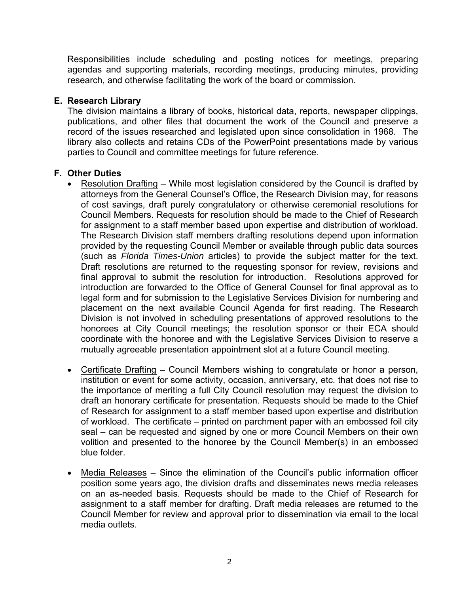Responsibilities include scheduling and posting notices for meetings, preparing agendas and supporting materials, recording meetings, producing minutes, providing research, and otherwise facilitating the work of the board or commission.

### **E. Research Library**

The division maintains a library of books, historical data, reports, newspaper clippings, publications, and other files that document the work of the Council and preserve a record of the issues researched and legislated upon since consolidation in 1968. The library also collects and retains CDs of the PowerPoint presentations made by various parties to Council and committee meetings for future reference.

### **F. Other Duties**

- Resolution Drafting While most legislation considered by the Council is drafted by attorneys from the General Counsel's Office, the Research Division may, for reasons of cost savings, draft purely congratulatory or otherwise ceremonial resolutions for Council Members. Requests for resolution should be made to the Chief of Research for assignment to a staff member based upon expertise and distribution of workload. The Research Division staff members drafting resolutions depend upon information provided by the requesting Council Member or available through public data sources (such as *Florida Times-Union* articles) to provide the subject matter for the text. Draft resolutions are returned to the requesting sponsor for review, revisions and final approval to submit the resolution for introduction. Resolutions approved for introduction are forwarded to the Office of General Counsel for final approval as to legal form and for submission to the Legislative Services Division for numbering and placement on the next available Council Agenda for first reading. The Research Division is not involved in scheduling presentations of approved resolutions to the honorees at City Council meetings; the resolution sponsor or their ECA should coordinate with the honoree and with the Legislative Services Division to reserve a mutually agreeable presentation appointment slot at a future Council meeting.
- Certificate Drafting Council Members wishing to congratulate or honor a person, institution or event for some activity, occasion, anniversary, etc. that does not rise to the importance of meriting a full City Council resolution may request the division to draft an honorary certificate for presentation. Requests should be made to the Chief of Research for assignment to a staff member based upon expertise and distribution of workload. The certificate – printed on parchment paper with an embossed foil city seal – can be requested and signed by one or more Council Members on their own volition and presented to the honoree by the Council Member(s) in an embossed blue folder.
- Media Releases Since the elimination of the Council's public information officer position some years ago, the division drafts and disseminates news media releases on an as-needed basis. Requests should be made to the Chief of Research for assignment to a staff member for drafting. Draft media releases are returned to the Council Member for review and approval prior to dissemination via email to the local media outlets.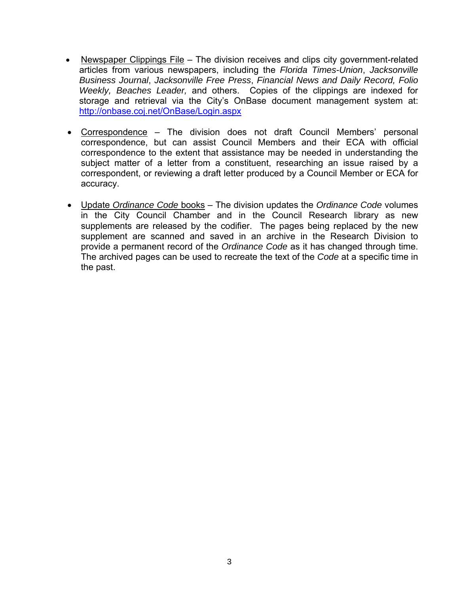- Newspaper Clippings File The division receives and clips city government-related articles from various newspapers, including the *Florida Times-Union*, *Jacksonville Business Journal*, *Jacksonville Free Press*, *Financial News and Daily Record, Folio Weekly, Beaches Leader,* and others. Copies of the clippings are indexed for storage and retrieval via the City's OnBase document management system at: http://onbase.coj.net/OnBase/Login.aspx
- Correspondence The division does not draft Council Members' personal correspondence, but can assist Council Members and their ECA with official correspondence to the extent that assistance may be needed in understanding the subject matter of a letter from a constituent, researching an issue raised by a correspondent, or reviewing a draft letter produced by a Council Member or ECA for accuracy.
- Update *Ordinance Code* books The division updates the *Ordinance Code* volumes in the City Council Chamber and in the Council Research library as new supplements are released by the codifier. The pages being replaced by the new supplement are scanned and saved in an archive in the Research Division to provide a permanent record of the *Ordinance Code* as it has changed through time. The archived pages can be used to recreate the text of the *Code* at a specific time in the past.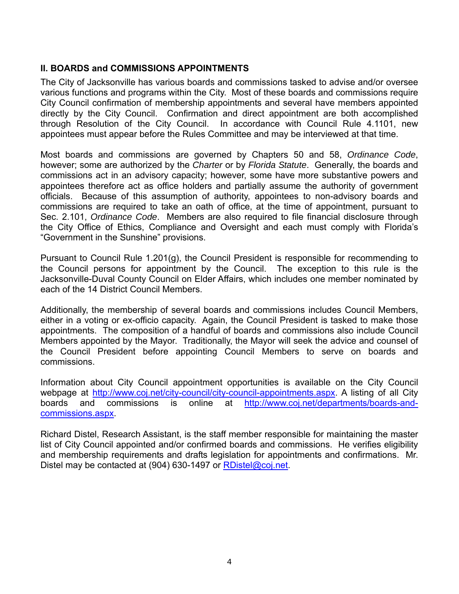### **II. BOARDS and COMMISSIONS APPOINTMENTS**

The City of Jacksonville has various boards and commissions tasked to advise and/or oversee various functions and programs within the City. Most of these boards and commissions require City Council confirmation of membership appointments and several have members appointed directly by the City Council. Confirmation and direct appointment are both accomplished through Resolution of the City Council. In accordance with Council Rule 4.1101, new appointees must appear before the Rules Committee and may be interviewed at that time.

Most boards and commissions are governed by Chapters 50 and 58, *Ordinance Code*, however; some are authorized by the *Charter* or by *Florida Statute*. Generally, the boards and commissions act in an advisory capacity; however, some have more substantive powers and appointees therefore act as office holders and partially assume the authority of government officials. Because of this assumption of authority, appointees to non-advisory boards and commissions are required to take an oath of office, at the time of appointment, pursuant to Sec. 2.101, *Ordinance Code*. Members are also required to file financial disclosure through the City Office of Ethics, Compliance and Oversight and each must comply with Florida's "Government in the Sunshine" provisions.

Pursuant to Council Rule 1.201(g), the Council President is responsible for recommending to the Council persons for appointment by the Council. The exception to this rule is the Jacksonville-Duval County Council on Elder Affairs, which includes one member nominated by each of the 14 District Council Members.

Additionally, the membership of several boards and commissions includes Council Members, either in a voting or ex-officio capacity. Again, the Council President is tasked to make those appointments. The composition of a handful of boards and commissions also include Council Members appointed by the Mayor. Traditionally, the Mayor will seek the advice and counsel of the Council President before appointing Council Members to serve on boards and commissions.

Information about City Council appointment opportunities is available on the City Council webpage at http://www.coj.net/city-council/city-council-appointments.aspx. A listing of all City boards and commissions is online at http://www.coj.net/departments/boards-andcommissions.aspx.

Richard Distel, Research Assistant, is the staff member responsible for maintaining the master list of City Council appointed and/or confirmed boards and commissions. He verifies eligibility and membership requirements and drafts legislation for appointments and confirmations. Mr. Distel may be contacted at (904) 630-1497 or RDistel@coj.net.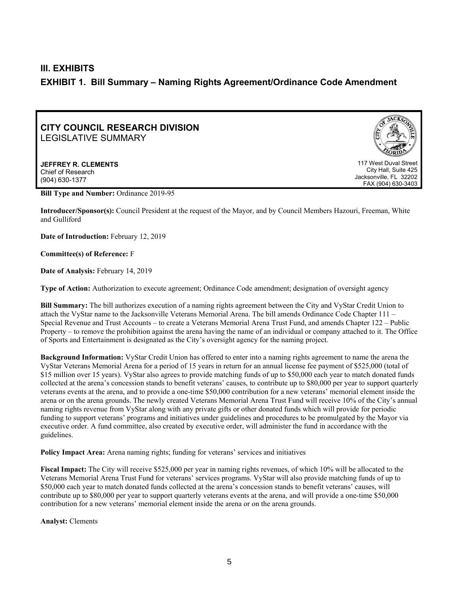### **III. EXHIBITS EXHIBIT 1. Bill Summary – Naming Rights Agreement/Ordinance Code Amendment**

### **CITY COUNCIL RESEARCH DIVISION**  LEGISLATIVE SUMMARY

**JEFFREY R. CLEMENTS**  Chief of Research (904) 630-1377



117 West Duval Street City Hall, Suite 425 Jacksonville, FL 32202 FAX (904) 630-3403

**Bill Type and Number:** Ordinance 2019-95

**Introducer/Sponsor(s):** Council President at the request of the Mayor, and by Council Members Hazouri, Freeman, White and Gulliford

**Date of Introduction:** February 12, 2019

**Committee(s) of Reference:** F

**Date of Analysis:** February 14, 2019

**Type of Action:** Authorization to execute agreement; Ordinance Code amendment; designation of oversight agency

**Bill Summary:** The bill authorizes execution of a naming rights agreement between the City and VyStar Credit Union to attach the VyStar name to the Jacksonville Veterans Memorial Arena. The bill amends Ordinance Code Chapter 111 – Special Revenue and Trust Accounts – to create a Veterans Memorial Arena Trust Fund, and amends Chapter 122 – Public Property – to remove the prohibition against the arena having the name of an individual or company attached to it. The Office of Sports and Entertainment is designated as the City's oversight agency for the naming project.

**Background Information:** VyStar Credit Union has offered to enter into a naming rights agreement to name the arena the VyStar Veterans Memorial Arena for a period of 15 years in return for an annual license fee payment of \$525,000 (total of \$15 million over 15 years). VyStar also agrees to provide matching funds of up to \$50,000 each year to match donated funds collected at the arena's concession stands to benefit veterans' causes, to contribute up to \$80,000 per year to support quarterly veterans events at the arena, and to provide a one-time \$50,000 contribution for a new veterans' memorial element inside the arena or on the arena grounds. The newly created Veterans Memorial Arena Trust Fund will receive 10% of the City's annual naming rights revenue from VyStar along with any private gifts or other donated funds which will provide for periodic funding to support veterans' programs and initiatives under guidelines and procedures to be promulgated by the Mayor via executive order. A fund committee, also created by executive order, will administer the fund in accordance with the guidelines.

**Policy Impact Area:** Arena naming rights; funding for veterans' services and initiatives

**Fiscal Impact:** The City will receive \$525,000 per year in naming rights revenues, of which 10% will be allocated to the Veterans Memorial Arena Trust Fund for veterans' services programs. VyStar will also provide matching funds of up to \$50,000 each year to match donated funds collected at the arena's concession stands to benefit veterans' causes, will contribute up to \$80,000 per year to support quarterly veterans events at the arena, and will provide a one-time \$50,000 contribution for a new veterans' memorial element inside the arena or on the arena grounds.

**Analyst:** Clements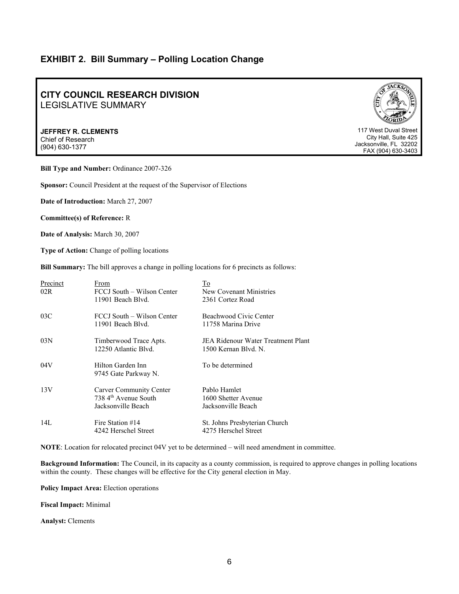### **EXHIBIT 2. Bill Summary – Polling Location Change**

### **CITY COUNCIL RESEARCH DIVISION**  LEGISLATIVE SUMMARY

**JEFFREY R. CLEMENTS**  Chief of Research (904) 630-1377



117 West Duval Street City Hall, Suite 425 Jacksonville, FL 32202 FAX (904) 630-3403

**Bill Type and Number:** Ordinance 2007-326

**Sponsor:** Council President at the request of the Supervisor of Elections

**Date of Introduction:** March 27, 2007

**Committee(s) of Reference:** R

**Date of Analysis:** March 30, 2007

**Type of Action:** Change of polling locations

**Bill Summary:** The bill approves a change in polling locations for 6 precincts as follows:

| Precinct<br>02R | From<br>FCCJ South – Wilson Center<br>11901 Beach Blvd.                             | To<br>New Covenant Ministries<br>2361 Cortez Road          |
|-----------------|-------------------------------------------------------------------------------------|------------------------------------------------------------|
| 03C             | FCCJ South – Wilson Center<br>11901 Beach Blvd.                                     | Beachwood Civic Center<br>11758 Marina Drive               |
| 03N             | Timberwood Trace Apts.<br>12250 Atlantic Blvd.                                      | JEA Ridenour Water Treatment Plant<br>1500 Kernan Blvd. N. |
| 04V             | Hilton Garden Inn<br>9745 Gate Parkway N.                                           | To be determined                                           |
| 13V             | Carver Community Center<br>$738.4$ <sup>th</sup> Avenue South<br>Jacksonville Beach | Pablo Hamlet<br>1600 Shetter Avenue<br>Jacksonville Beach  |
| 14L             | Fire Station #14<br>4242 Herschel Street                                            | St. Johns Presbyterian Church<br>4275 Herschel Street      |

**NOTE**: Location for relocated precinct 04V yet to be determined – will need amendment in committee.

**Background Information:** The Council, in its capacity as a county commission, is required to approve changes in polling locations within the county. These changes will be effective for the City general election in May.

**Policy Impact Area:** Election operations

**Fiscal Impact:** Minimal

**Analyst:** Clements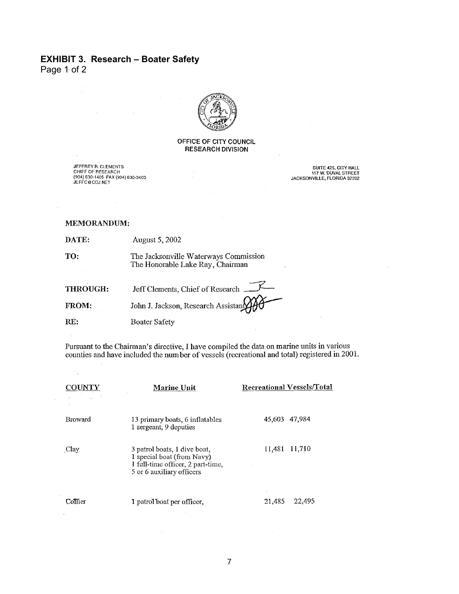### **EXHIBIT 3. Research – Boater Safety**

Page 1 of 2

 $\sqrt{2}$ 

 $\mathcal{A}$ 

 $\mathcal{F}_{\mathcal{A}}$ 

 $\lambda$ 



### OFFICE OF CITY COUNCIL **RESEARCH DIVISION**

JEFFREY R. CLEMENTS<br>CHIEF OF RESEARCH<br>(904) 630-1405 FAX (904) 630-3403 JEFFC@COJ.NET

SUITE 425, CITY HALL<br>117 W. DUVAL STREET<br>JACKSONVILLE, FLORIDA 32202

### MEMORANDUM:

DATE: August 5, 2002

The Jacksonville Waterways Commission TO: The Honorable Lake Ray, Chairman

| THROUGH:     | Jeff Clements, Chief of Research    |
|--------------|-------------------------------------|
| <b>FROM:</b> | John J. Jackson, Research Assistant |
| RE:          | <b>Boater Safety</b>                |

Pursuant to the Chairman's directive, I have compiled the data on marine units in various counties and have included the number of vessels (recreational and total) registered in 2001.

|                | <b>Marine Unit</b>                                                                                                           | <b>Recreational Vessels/Total</b> |
|----------------|------------------------------------------------------------------------------------------------------------------------------|-----------------------------------|
| <b>Broward</b> | 13 primary boats, 6 inflatables<br>1 sergeant, 9 deputies                                                                    | 45,603 47,984                     |
| Clay           | 3 patrol boats, 1 dive boat,<br>1 special boat (from Navy)<br>1 full-time officer, 2 part-time,<br>5 or 6 auxiliary officers | 11,481<br>11,710                  |
| Collier        | 1 patrol boat per officer,                                                                                                   | 21,485<br>22,495                  |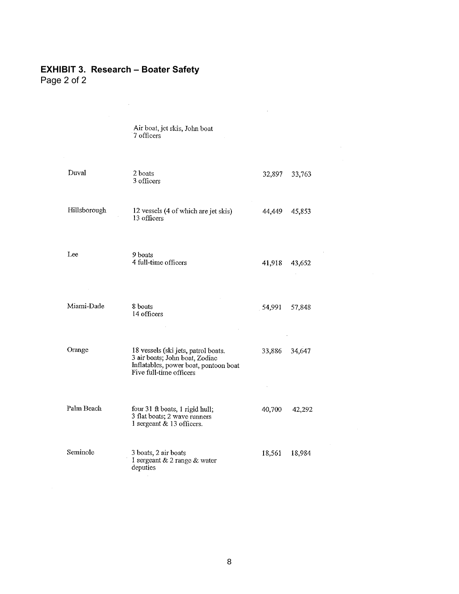### **EXHIBIT 3. Research – Boater Safety**

 $\sim 10^{-1}$ 

Page 2 of 2

Air boat, jet skis, John boat<br>7 officers

 $\hat{\boldsymbol{\beta}}$ 

 $\bar{z}$ 

 $\mathcal{L}^{\mathcal{L}}$ 

| Duval        | 2 boats<br>3 officers                                                                                                                     | 32,897 | 33,763 |
|--------------|-------------------------------------------------------------------------------------------------------------------------------------------|--------|--------|
| Hillsborough | 12 vessels (4 of which are jet skis)<br>13 officers                                                                                       | 44,449 | 45,853 |
| Lee          | 9 boats<br>4 full-time officers                                                                                                           | 41,918 | 43,652 |
| Miami-Dade   | 8 boats<br>14 officers                                                                                                                    | 54,991 | 57,848 |
| Orange       | 18 vessels (ski jets, patrol boats.<br>3 air boats; John boat, Zodiac<br>Inflatables, power boat, pontoon boat<br>Five full-time officers | 33,886 | 34,647 |
| Palm Beach   | four 31 ft boats, 1 rigid hull;<br>3 flat boats; 2 wave runners<br>1 sergeant & 13 officers.                                              | 40,700 | 42,292 |
| Seminole     | 3 boats, 2 air boats<br>1 sergeant & 2 range & water<br>deputies                                                                          | 18,561 | 18,984 |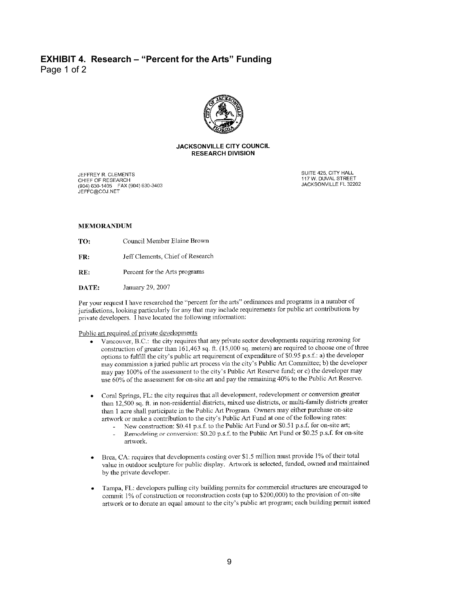### **EXHIBIT 4. Research – "Percent for the Arts" Funding**  Page 1 of 2



### **JACKSONVILLE CITY COUNCIL RESEARCH DIVISION**

JEFFREY R. CLEMENTS CHIEF OF RESEARCH<br>(904) 630-1405 FAX (904) 630-3403 JEFFC@COJ.NET

SUITE 425, CITY HALL 117 W. DUVAL STREET JACKSONVILLE FL 32202

### **MEMORANDUM**

- Council Member Elaine Brown TO:
- Jeff Clements, Chief of Research FR:
- RE: Percent for the Arts programs
- DATE: January 29, 2007

Per your request I have researched the "percent for the arts" ordinances and programs in a number of jurisdictions, looking particularly for any that may include requirements for public art contributions by private developers. I have located the following information:

### Public art required of private developments

- Vancouver, B.C.: the city requires that any private sector developments requiring rezoning for construction of greater than  $161,463$  sq. ft.  $(15,000 \text{ sq. meters})$  are required to choose one of three options to fulfill the city's public art requirement of expenditure of \$0.95 p.s.f.: a) the developer may commission a juried public art process via the city's Public Art Committee; b) the developer may pay 100% of the assessment to the city's Public Art Reserve fund; or c) the developer may use 60% of the assessment for on-site art and pay the remaining 40% to the Public Art Reserve.
- Coral Springs, FL: the city requires that all development, redevelopment or conversion greater than 12,500 sq. ft. in non-residential districts, mixed use districts, or multi-family districts greater than 1 acre shall participate in the Public Art Program. Owners may either purchase on-site artwork or make a contribution to the city's Public Art Fund at one of the following rates:
	- New construction: \$0.41 p.s.f. to the Public Art Fund or \$0.51 p.s.f. for on-site art; Remodeling or conversion: \$0.20 p.s.f. to the Public Art Fund or \$0.25 p.s.f. for on-site artwork.
- Brea, CA: requires that developments costing over \$1.5 million must provide 1% of their total value in outdoor sculpture for public display. Artwork is selected, funded, owned and maintained by the private developer.
- Tampa, FL: developers pulling city building permits for commercial structures are encouraged to commit 1% of construction or reconstruction costs (up to \$200,000) to the provision of on-site artwork or to donate an equal amount to the city's public art program; each building permit issued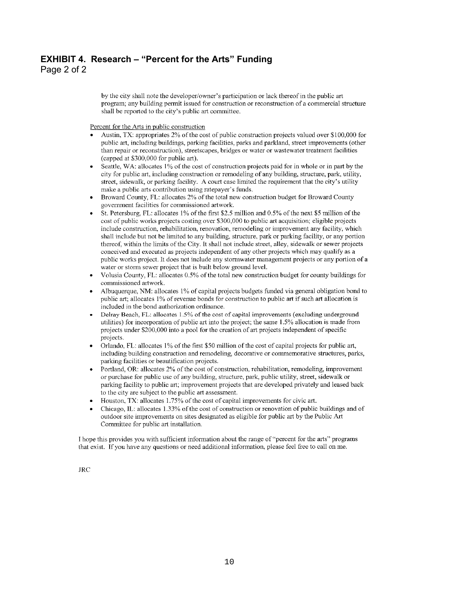### **EXHIBIT 4. Research – "Percent for the Arts" Funding**

Page 2 of 2

by the city shall note the developer/owner's participation or lack thereof in the public art program; any building permit issued for construction or reconstruction of a commercial structure shall be reported to the city's public art committee.

Percent for the Arts in public construction

- Austin, TX: appropriates 2% of the cost of public construction projects valued over \$100,000 for public art, including buildings, parking facilities, parks and parkland, street improvements (other than repair or reconstruction), streetscapes, bridges or water or wastewater treatment facilities (capped at \$300,000 for public art).
- Seattle, WA: allocates 1% of the cost of construction projects paid for in whole or in part by the city for public art, including construction or remodeling of any building, structure, park, utility, street, sidewalk, or parking facility. A court case limited the requirement that the city's utility make a public arts contribution using ratepayer's funds.
- Broward County, FL: allocates 2% of the total new construction budget for Broward County government facilities for commissioned artwork.
- St. Petersburg, FL: allocates 1% of the first \$2.5 million and 0.5% of the next \$5 million of the cost of public works projects costing over \$300,000 to public art acquisition; eligible projects include construction, rehabilitation, renovation, remodeling or improvement any facility, which shall include but not be limited to any building, structure, park or parking facility, or any portion thereof, within the limits of the City. It shall not include street, alley, sidewalk or sewer projects conceived and executed as projects independent of any other projects which may qualify as a public works project. It does not include any stormwater management projects or any portion of a water or storm sewer project that is built below ground level.
- Volusia County, FL: allocates 0.5% of the total new construction budget for county buildings for commissioned artwork.
- Albuquerque, NM: allocates 1% of capital projects budgets funded via general obligation bond to public art; allocates 1% of revenue bonds for construction to public art if such art allocation is included in the bond authorization ordinance.
- Delray Beach, FL: allocates 1.5% of the cost of capital improvements (excluding underground utilities) for incorporation of public art into the project; the same 1.5% allocation is made from projects under \$200,000 into a pool for the creation of art projects independent of specific projects.
- Orlando. FL: allocates 1% of the first \$50 million of the cost of capital projects for public art. including building construction and remodeling, decorative or commemorative structures, parks, parking facilities or beautification projects.
- Portland, OR: allocates 2% of the cost of construction, rehabilitation, remodeling, improvement or purchase for public use of any building, structure, park, public utility, street, sidewalk or parking facility to public art; improvement projects that are developed privately and leased back to the city are subject to the public art assessment.
- Houston, TX; allocates 1.75% of the cost of capital improvements for civic art.
- Chicago, IL: allocates 1.33% of the cost of construction or renovation of public buildings and of outdoor site improvements on sites designated as eligible for public art by the Public Art Committee for public art installation.

I hope this provides you with sufficient information about the range of "percent for the arts" programs that exist. If you have any questions or need additional information, please feel free to call on me.

**JRC**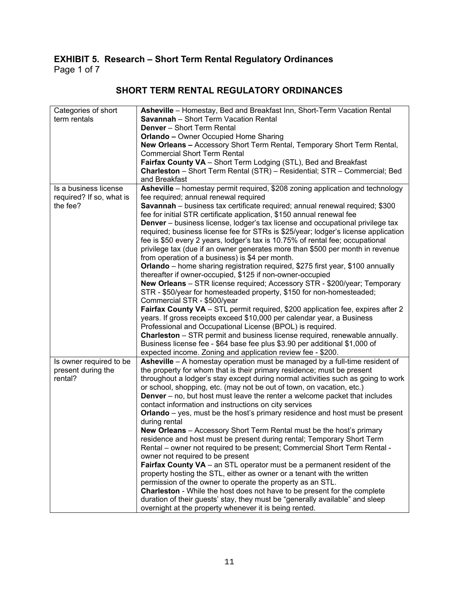### **EXHIBIT 5. Research – Short Term Rental Regulatory Ordinances**  Page 1 of 7

| Categories of short      | Asheville - Homestay, Bed and Breakfast Inn, Short-Term Vacation Rental               |
|--------------------------|---------------------------------------------------------------------------------------|
| term rentals             | <b>Savannah</b> - Short Term Vacation Rental                                          |
|                          | <b>Denver</b> - Short Term Rental                                                     |
|                          | <b>Orlando - Owner Occupied Home Sharing</b>                                          |
|                          | New Orleans - Accessory Short Term Rental, Temporary Short Term Rental,               |
|                          | <b>Commercial Short Term Rental</b>                                                   |
|                          | Fairfax County VA - Short Term Lodging (STL), Bed and Breakfast                       |
|                          | Charleston - Short Term Rental (STR) - Residential; STR - Commercial; Bed             |
|                          | and Breakfast                                                                         |
| Is a business license    | Asheville - homestay permit required, \$208 zoning application and technology         |
| required? If so, what is | fee required; annual renewal required                                                 |
| the fee?                 | Savannah - business tax certificate required; annual renewal required; \$300          |
|                          | fee for initial STR certificate application, \$150 annual renewal fee                 |
|                          | <b>Denver</b> – business license, lodger's tax license and occupational privilege tax |
|                          | required; business license fee for STRs is \$25/year; lodger's license application    |
|                          | fee is \$50 every 2 years, lodger's tax is 10.75% of rental fee; occupational         |
|                          | privilege tax (due if an owner generates more than \$500 per month in revenue         |
|                          | from operation of a business) is \$4 per month.                                       |
|                          | Orlando - home sharing registration required, \$275 first year, \$100 annually        |
|                          | thereafter if owner-occupied, \$125 if non-owner-occupied                             |
|                          | New Orleans - STR license required; Accessory STR - \$200/year; Temporary             |
|                          | STR - \$50/year for homesteaded property, \$150 for non-homesteaded;                  |
|                          | Commercial STR - \$500/year                                                           |
|                          | Fairfax County VA - STL permit required, \$200 application fee, expires after 2       |
|                          | years. If gross receipts exceed \$10,000 per calendar year, a Business                |
|                          | Professional and Occupational License (BPOL) is required.                             |
|                          | <b>Charleston</b> – STR permit and business license required, renewable annually.     |
|                          | Business license fee - \$64 base fee plus \$3.90 per additional \$1,000 of            |
|                          | expected income. Zoning and application review fee - \$200.                           |
| Is owner required to be  | Asheville - A homestay operation must be managed by a full-time resident of           |
| present during the       | the property for whom that is their primary residence; must be present                |
| rental?                  | throughout a lodger's stay except during normal activities such as going to work      |
|                          | or school, shopping, etc. (may not be out of town, on vacation, etc.)                 |
|                          | <b>Denver</b> – no, but host must leave the renter a welcome packet that includes     |
|                          | contact information and instructions on city services                                 |
|                          | <b>Orlando</b> – yes, must be the host's primary residence and host must be present   |
|                          | during rental                                                                         |
|                          | New Orleans - Accessory Short Term Rental must be the host's primary                  |
|                          | residence and host must be present during rental; Temporary Short Term                |
|                          | Rental - owner not required to be present; Commercial Short Term Rental -             |
|                          | owner not required to be present                                                      |
|                          | Fairfax County VA - an STL operator must be a permanent resident of the               |
|                          | property hosting the STL, either as owner or a tenant with the written                |
|                          | permission of the owner to operate the property as an STL.                            |
|                          | <b>Charleston</b> - While the host does not have to be present for the complete       |
|                          | duration of their guests' stay, they must be "generally available" and sleep          |
|                          | overnight at the property whenever it is being rented.                                |

### **SHORT TERM RENTAL REGULATORY ORDINANCES**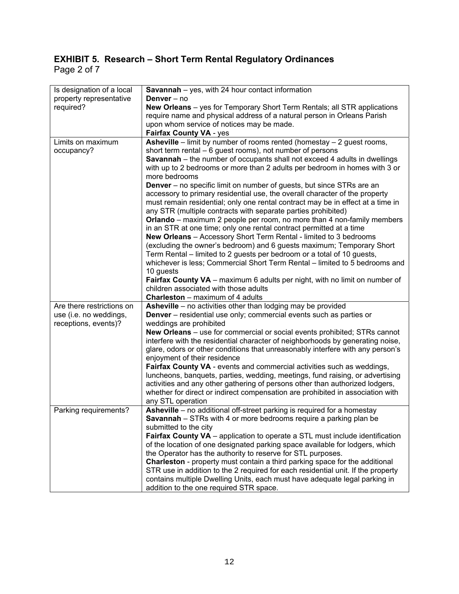### **EXHIBIT 5. Research – Short Term Rental Regulatory Ordinances**  Page 2 of 7

| Is designation of a local | <b>Savannah</b> – yes, with 24 hour contact information                            |
|---------------------------|------------------------------------------------------------------------------------|
| property representative   | Denver - no                                                                        |
| required?                 | <b>New Orleans</b> – yes for Temporary Short Term Rentals; all STR applications    |
|                           | require name and physical address of a natural person in Orleans Parish            |
|                           | upon whom service of notices may be made.                                          |
|                           | Fairfax County VA - yes                                                            |
| Limits on maximum         | <b>Asheville</b> – limit by number of rooms rented (homestay $-2$ guest rooms,     |
| occupancy?                | short term rental - 6 guest rooms), not number of persons                          |
|                           | <b>Savannah</b> – the number of occupants shall not exceed 4 adults in dwellings   |
|                           |                                                                                    |
|                           | with up to 2 bedrooms or more than 2 adults per bedroom in homes with 3 or         |
|                           | more bedrooms                                                                      |
|                           | <b>Denver</b> – no specific limit on number of guests, but since STRs are an       |
|                           | accessory to primary residential use, the overall character of the property        |
|                           | must remain residential; only one rental contract may be in effect at a time in    |
|                           | any STR (multiple contracts with separate parties prohibited)                      |
|                           | <b>Orlando</b> – maximum 2 people per room, no more than 4 non-family members      |
|                           | in an STR at one time; only one rental contract permitted at a time                |
|                           | <b>New Orleans</b> - Accessory Short Term Rental - limited to 3 bedrooms           |
|                           | (excluding the owner's bedroom) and 6 guests maximum; Temporary Short              |
|                           | Term Rental – limited to 2 guests per bedroom or a total of 10 guests,             |
|                           | whichever is less; Commercial Short Term Rental - limited to 5 bedrooms and        |
|                           |                                                                                    |
|                           | 10 guests                                                                          |
|                           | Fairfax County VA - maximum 6 adults per night, with no limit on number of         |
|                           | children associated with those adults                                              |
|                           | <b>Charleston</b> – maximum of 4 adults                                            |
| Are there restrictions on | Asheville - no activities other than lodging may be provided                       |
| use (i.e. no weddings,    | <b>Denver</b> – residential use only; commercial events such as parties or         |
| receptions, events)?      | weddings are prohibited                                                            |
|                           | <b>New Orleans</b> – use for commercial or social events prohibited; STRs cannot   |
|                           | interfere with the residential character of neighborhoods by generating noise,     |
|                           | glare, odors or other conditions that unreasonably interfere with any person's     |
|                           | enjoyment of their residence                                                       |
|                           | Fairfax County VA - events and commercial activities such as weddings,             |
|                           | luncheons, banquets, parties, wedding, meetings, fund raising, or advertising      |
|                           | activities and any other gathering of persons other than authorized lodgers,       |
|                           | whether for direct or indirect compensation are prohibited in association with     |
|                           | any STL operation                                                                  |
|                           |                                                                                    |
| Parking requirements?     | Asheville – no additional off-street parking is required for a homestay            |
|                           | <b>Savannah</b> – STRs with 4 or more bedrooms require a parking plan be           |
|                           | submitted to the city                                                              |
|                           | Fairfax County VA - application to operate a STL must include identification       |
|                           | of the location of one designated parking space available for lodgers, which       |
|                           | the Operator has the authority to reserve for STL purposes.                        |
|                           | <b>Charleston</b> - property must contain a third parking space for the additional |
|                           |                                                                                    |
|                           | STR use in addition to the 2 required for each residential unit. If the property   |
|                           | contains multiple Dwelling Units, each must have adequate legal parking in         |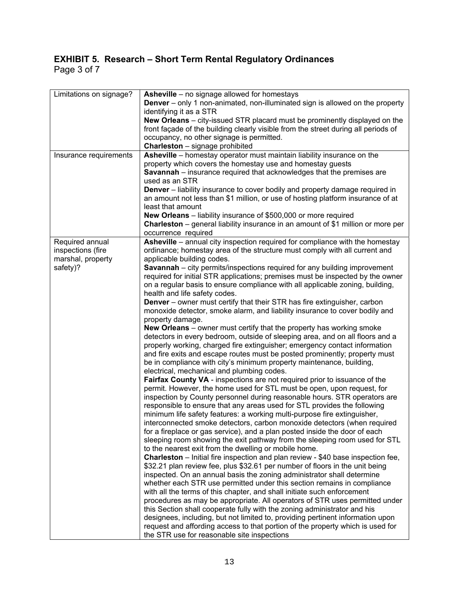### **EXHIBIT 5. Research – Short Term Rental Regulatory Ordinances**  Page 3 of 7

| Limitations on signage?              | <b>Asheville</b> – no signage allowed for homestays<br><b>Denver</b> – only 1 non-animated, non-illuminated sign is allowed on the property<br>identifying it as a STR |
|--------------------------------------|------------------------------------------------------------------------------------------------------------------------------------------------------------------------|
|                                      | New Orleans - city-issued STR placard must be prominently displayed on the                                                                                             |
|                                      | front façade of the building clearly visible from the street during all periods of<br>occupancy, no other signage is permitted.                                        |
|                                      | <b>Charleston</b> - signage prohibited                                                                                                                                 |
| Insurance requirements               | Asheville – homestay operator must maintain liability insurance on the                                                                                                 |
|                                      | property which covers the homestay use and homestay guests<br><b>Savannah</b> – insurance required that acknowledges that the premises are                             |
|                                      | used as an STR                                                                                                                                                         |
|                                      | <b>Denver</b> – liability insurance to cover bodily and property damage required in                                                                                    |
|                                      | an amount not less than \$1 million, or use of hosting platform insurance of at<br>least that amount                                                                   |
|                                      | New Orleans - liability insurance of \$500,000 or more required                                                                                                        |
|                                      | Charleston – general liability insurance in an amount of \$1 million or more per                                                                                       |
|                                      | occurrence required                                                                                                                                                    |
| Required annual<br>inspections (fire | <b>Asheville</b> – annual city inspection required for compliance with the homestay<br>ordinance; homestay area of the structure must comply with all current and      |
| marshal, property                    | applicable building codes.                                                                                                                                             |
| safety)?                             | <b>Savannah</b> – city permits/inspections required for any building improvement                                                                                       |
|                                      | required for initial STR applications; premises must be inspected by the owner<br>on a regular basis to ensure compliance with all applicable zoning, building,        |
|                                      | health and life safety codes.                                                                                                                                          |
|                                      | Denver - owner must certify that their STR has fire extinguisher, carbon                                                                                               |
|                                      | monoxide detector, smoke alarm, and liability insurance to cover bodily and                                                                                            |
|                                      | property damage.                                                                                                                                                       |
|                                      | <b>New Orleans</b> – owner must certify that the property has working smoke<br>detectors in every bedroom, outside of sleeping area, and on all floors and a           |
|                                      | properly working, charged fire extinguisher; emergency contact information                                                                                             |
|                                      | and fire exits and escape routes must be posted prominently; property must                                                                                             |
|                                      | be in compliance with city's minimum property maintenance, building,                                                                                                   |
|                                      | electrical, mechanical and plumbing codes.<br>Fairfax County VA - inspections are not required prior to issuance of the                                                |
|                                      | permit. However, the home used for STL must be open, upon request, for                                                                                                 |
|                                      | inspection by County personnel during reasonable hours. STR operators are                                                                                              |
|                                      | responsible to ensure that any areas used for STL provides the following                                                                                               |
|                                      | minimum life safety features: a working multi-purpose fire extinguisher,                                                                                               |
|                                      | interconnected smoke detectors, carbon monoxide detectors (when required                                                                                               |
|                                      | for a fireplace or gas service), and a plan posted inside the door of each<br>sleeping room showing the exit pathway from the sleeping room used for STL               |
|                                      | to the nearest exit from the dwelling or mobile home.                                                                                                                  |
|                                      | <b>Charleston</b> – Initial fire inspection and plan review - \$40 base inspection fee,                                                                                |
|                                      | \$32.21 plan review fee, plus \$32.61 per number of floors in the unit being                                                                                           |
|                                      | inspected. On an annual basis the zoning administrator shall determine                                                                                                 |
|                                      | whether each STR use permitted under this section remains in compliance<br>with all the terms of this chapter, and shall initiate such enforcement                     |
|                                      | procedures as may be appropriate. All operators of STR uses permitted under                                                                                            |
|                                      | this Section shall cooperate fully with the zoning administrator and his                                                                                               |
|                                      | designees, including, but not limited to, providing pertinent information upon                                                                                         |
|                                      | request and affording access to that portion of the property which is used for                                                                                         |
|                                      | the STR use for reasonable site inspections                                                                                                                            |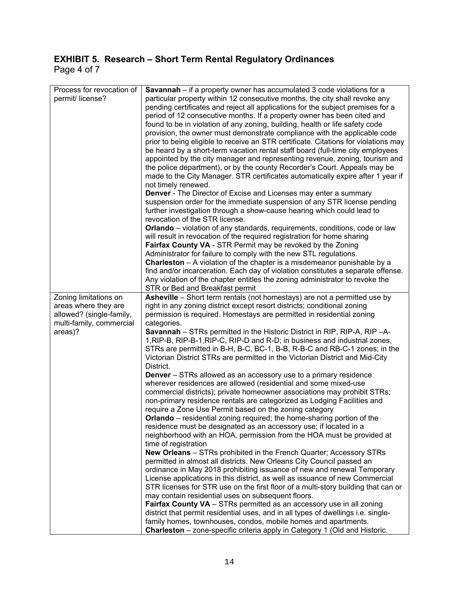### **EXHIBIT 5. Research – Short Term Rental Regulatory Ordinances**  Page 4 of 7

| Process for revocation of<br>permit/ license?        | <b>Savannah</b> – if a property owner has accumulated 3 code violations for a<br>particular property within 12 consecutive months, the city shall revoke any<br>pending certificates and reject all applications for the subject premises for a<br>period of 12 consecutive months. If a property owner has been cited and<br>found to be in violation of any zoning, building, health or life safety code<br>provision, the owner must demonstrate compliance with the applicable code<br>prior to being eligible to receive an STR certificate. Citations for violations may<br>be heard by a short-term vacation rental staff board (full-time city employees<br>appointed by the city manager and representing revenue, zoning, tourism and<br>the police department), or by the county Recorder's Court. Appeals may be<br>made to the City Manager. STR certificates automatically expire after 1 year if<br>not timely renewed.<br><b>Denver</b> - The Director of Excise and Licenses may enter a summary<br>suspension order for the immediate suspension of any STR license pending<br>further investigation through a show-cause hearing which could lead to<br>revocation of the STR license.<br><b>Orlando</b> – violation of any standards, requirements, conditions, code or law<br>will result in revocation of the required registration for home sharing<br>Fairfax County VA - STR Permit may be revoked by the Zoning<br>Administrator for failure to comply with the new STL regulations.<br><b>Charleston</b> $-$ A violation of the chapter is a misdemeanor punishable by a<br>find and/or incarceration. Each day of violation constitutes a separate offense.<br>Any violation of the chapter entitles the zoning administrator to revoke the<br>STR or Bed and Breakfast permit |
|------------------------------------------------------|------------------------------------------------------------------------------------------------------------------------------------------------------------------------------------------------------------------------------------------------------------------------------------------------------------------------------------------------------------------------------------------------------------------------------------------------------------------------------------------------------------------------------------------------------------------------------------------------------------------------------------------------------------------------------------------------------------------------------------------------------------------------------------------------------------------------------------------------------------------------------------------------------------------------------------------------------------------------------------------------------------------------------------------------------------------------------------------------------------------------------------------------------------------------------------------------------------------------------------------------------------------------------------------------------------------------------------------------------------------------------------------------------------------------------------------------------------------------------------------------------------------------------------------------------------------------------------------------------------------------------------------------------------------------------------------------------------------------------------------------------------------------------------------------------------|
| Zoning limitations on                                | Asheville - Short term rentals (not homestays) are not a permitted use by                                                                                                                                                                                                                                                                                                                                                                                                                                                                                                                                                                                                                                                                                                                                                                                                                                                                                                                                                                                                                                                                                                                                                                                                                                                                                                                                                                                                                                                                                                                                                                                                                                                                                                                                  |
| areas where they are                                 | right in any zoning district except resort districts; conditional zoning                                                                                                                                                                                                                                                                                                                                                                                                                                                                                                                                                                                                                                                                                                                                                                                                                                                                                                                                                                                                                                                                                                                                                                                                                                                                                                                                                                                                                                                                                                                                                                                                                                                                                                                                   |
| allowed? (single-family,<br>multi-family, commercial | permission is required. Homestays are permitted in residential zoning<br>categories.                                                                                                                                                                                                                                                                                                                                                                                                                                                                                                                                                                                                                                                                                                                                                                                                                                                                                                                                                                                                                                                                                                                                                                                                                                                                                                                                                                                                                                                                                                                                                                                                                                                                                                                       |
| areas)?                                              | <b>Savannah</b> – STRs permitted in the Historic District in RIP, RIP-A, RIP – A-                                                                                                                                                                                                                                                                                                                                                                                                                                                                                                                                                                                                                                                                                                                                                                                                                                                                                                                                                                                                                                                                                                                                                                                                                                                                                                                                                                                                                                                                                                                                                                                                                                                                                                                          |
|                                                      | 1, RIP-B, RIP-B-1, RIP-C, RIP-D and R-D; in business and industrial zones,                                                                                                                                                                                                                                                                                                                                                                                                                                                                                                                                                                                                                                                                                                                                                                                                                                                                                                                                                                                                                                                                                                                                                                                                                                                                                                                                                                                                                                                                                                                                                                                                                                                                                                                                 |
|                                                      | STRs are permitted in B-H, B-C, BC-1, B-B, R-B-C and RB-C-1 zones; in the<br>Victorian District STRs are permitted in the Victorian District and Mid-City<br>District.                                                                                                                                                                                                                                                                                                                                                                                                                                                                                                                                                                                                                                                                                                                                                                                                                                                                                                                                                                                                                                                                                                                                                                                                                                                                                                                                                                                                                                                                                                                                                                                                                                     |
|                                                      | <b>Denver</b> – STRs allowed as an accessory use to a primary residence                                                                                                                                                                                                                                                                                                                                                                                                                                                                                                                                                                                                                                                                                                                                                                                                                                                                                                                                                                                                                                                                                                                                                                                                                                                                                                                                                                                                                                                                                                                                                                                                                                                                                                                                    |
|                                                      | wherever residences are allowed (residential and some mixed-use                                                                                                                                                                                                                                                                                                                                                                                                                                                                                                                                                                                                                                                                                                                                                                                                                                                                                                                                                                                                                                                                                                                                                                                                                                                                                                                                                                                                                                                                                                                                                                                                                                                                                                                                            |
|                                                      | commercial districts); private homeowner associations may prohibit STRs;                                                                                                                                                                                                                                                                                                                                                                                                                                                                                                                                                                                                                                                                                                                                                                                                                                                                                                                                                                                                                                                                                                                                                                                                                                                                                                                                                                                                                                                                                                                                                                                                                                                                                                                                   |
|                                                      | non-primary residence rentals are categorized as Lodging Facilities and                                                                                                                                                                                                                                                                                                                                                                                                                                                                                                                                                                                                                                                                                                                                                                                                                                                                                                                                                                                                                                                                                                                                                                                                                                                                                                                                                                                                                                                                                                                                                                                                                                                                                                                                    |
|                                                      | require a Zone Use Permit based on the zoning category                                                                                                                                                                                                                                                                                                                                                                                                                                                                                                                                                                                                                                                                                                                                                                                                                                                                                                                                                                                                                                                                                                                                                                                                                                                                                                                                                                                                                                                                                                                                                                                                                                                                                                                                                     |
|                                                      | <b>Orlando</b> – residential zoning required; the home-sharing portion of the<br>residence must be designated as an accessory use; if located in a                                                                                                                                                                                                                                                                                                                                                                                                                                                                                                                                                                                                                                                                                                                                                                                                                                                                                                                                                                                                                                                                                                                                                                                                                                                                                                                                                                                                                                                                                                                                                                                                                                                         |
|                                                      | neighborhood with an HOA, permission from the HOA must be provided at                                                                                                                                                                                                                                                                                                                                                                                                                                                                                                                                                                                                                                                                                                                                                                                                                                                                                                                                                                                                                                                                                                                                                                                                                                                                                                                                                                                                                                                                                                                                                                                                                                                                                                                                      |
|                                                      | time of registration                                                                                                                                                                                                                                                                                                                                                                                                                                                                                                                                                                                                                                                                                                                                                                                                                                                                                                                                                                                                                                                                                                                                                                                                                                                                                                                                                                                                                                                                                                                                                                                                                                                                                                                                                                                       |
|                                                      | <b>New Orleans</b> – STRs prohibited in the French Quarter; Accessory STRs                                                                                                                                                                                                                                                                                                                                                                                                                                                                                                                                                                                                                                                                                                                                                                                                                                                                                                                                                                                                                                                                                                                                                                                                                                                                                                                                                                                                                                                                                                                                                                                                                                                                                                                                 |
|                                                      | permitted in almost all districts. New Orleans City Council passed an                                                                                                                                                                                                                                                                                                                                                                                                                                                                                                                                                                                                                                                                                                                                                                                                                                                                                                                                                                                                                                                                                                                                                                                                                                                                                                                                                                                                                                                                                                                                                                                                                                                                                                                                      |
|                                                      | ordinance in May 2018 prohibiting issuance of new and renewal Temporary                                                                                                                                                                                                                                                                                                                                                                                                                                                                                                                                                                                                                                                                                                                                                                                                                                                                                                                                                                                                                                                                                                                                                                                                                                                                                                                                                                                                                                                                                                                                                                                                                                                                                                                                    |
|                                                      | License applications in this district, as well as issuance of new Commercial                                                                                                                                                                                                                                                                                                                                                                                                                                                                                                                                                                                                                                                                                                                                                                                                                                                                                                                                                                                                                                                                                                                                                                                                                                                                                                                                                                                                                                                                                                                                                                                                                                                                                                                               |
|                                                      | STR licenses for STR use on the first floor of a multi-story building that can or<br>may contain residential uses on subsequent floors.                                                                                                                                                                                                                                                                                                                                                                                                                                                                                                                                                                                                                                                                                                                                                                                                                                                                                                                                                                                                                                                                                                                                                                                                                                                                                                                                                                                                                                                                                                                                                                                                                                                                    |
|                                                      | <b>Fairfax County VA</b> - STRs permitted as an accessory use in all zoning                                                                                                                                                                                                                                                                                                                                                                                                                                                                                                                                                                                                                                                                                                                                                                                                                                                                                                                                                                                                                                                                                                                                                                                                                                                                                                                                                                                                                                                                                                                                                                                                                                                                                                                                |
|                                                      | district that permit residential uses, and in all types of dwellings i.e. single-                                                                                                                                                                                                                                                                                                                                                                                                                                                                                                                                                                                                                                                                                                                                                                                                                                                                                                                                                                                                                                                                                                                                                                                                                                                                                                                                                                                                                                                                                                                                                                                                                                                                                                                          |
|                                                      | family homes, townhouses, condos, mobile homes and apartments.                                                                                                                                                                                                                                                                                                                                                                                                                                                                                                                                                                                                                                                                                                                                                                                                                                                                                                                                                                                                                                                                                                                                                                                                                                                                                                                                                                                                                                                                                                                                                                                                                                                                                                                                             |
|                                                      | Charleston - zone-specific criteria apply in Category 1 (Old and Historic.                                                                                                                                                                                                                                                                                                                                                                                                                                                                                                                                                                                                                                                                                                                                                                                                                                                                                                                                                                                                                                                                                                                                                                                                                                                                                                                                                                                                                                                                                                                                                                                                                                                                                                                                 |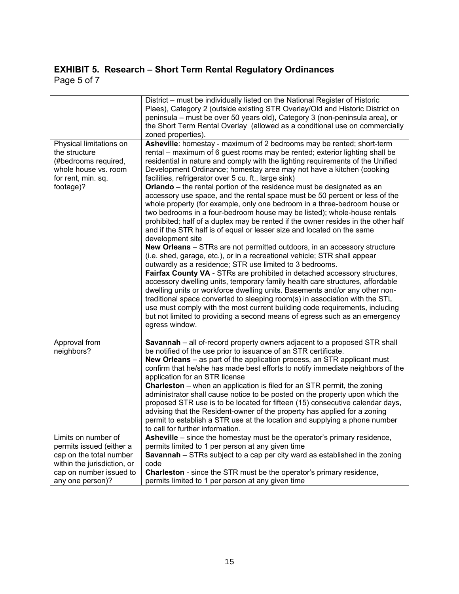### **EXHIBIT 5. Research – Short Term Rental Regulatory Ordinances**  Page 5 of 7

|                                                                                                                                                          | District – must be individually listed on the National Register of Historic<br>Plaes), Category 2 (outside existing STR Overlay/Old and Historic District on<br>peninsula - must be over 50 years old), Category 3 (non-peninsula area), or<br>the Short Term Rental Overlay (allowed as a conditional use on commercially<br>zoned properties).                                                                                                                                                                                                                                                                                                                                                                                                                                                                                                                                                                                                                                                                                                                                                                                                                                                                                                                                                                                                                                                                                                                                                                                                                                                                   |
|----------------------------------------------------------------------------------------------------------------------------------------------------------|--------------------------------------------------------------------------------------------------------------------------------------------------------------------------------------------------------------------------------------------------------------------------------------------------------------------------------------------------------------------------------------------------------------------------------------------------------------------------------------------------------------------------------------------------------------------------------------------------------------------------------------------------------------------------------------------------------------------------------------------------------------------------------------------------------------------------------------------------------------------------------------------------------------------------------------------------------------------------------------------------------------------------------------------------------------------------------------------------------------------------------------------------------------------------------------------------------------------------------------------------------------------------------------------------------------------------------------------------------------------------------------------------------------------------------------------------------------------------------------------------------------------------------------------------------------------------------------------------------------------|
| Physical limitations on<br>the structure<br>(#bedrooms required,<br>whole house vs. room<br>for rent, min. sq.<br>footage)?                              | Asheville: homestay - maximum of 2 bedrooms may be rented; short-term<br>rental – maximum of 6 guest rooms may be rented; exterior lighting shall be<br>residential in nature and comply with the lighting requirements of the Unified<br>Development Ordinance; homestay area may not have a kitchen (cooking<br>facilities, refrigerator over 5 cu. ft., large sink)<br><b>Orlando</b> – the rental portion of the residence must be designated as an<br>accessory use space, and the rental space must be 50 percent or less of the<br>whole property (for example, only one bedroom in a three-bedroom house or<br>two bedrooms in a four-bedroom house may be listed); whole-house rentals<br>prohibited; half of a duplex may be rented if the owner resides in the other half<br>and if the STR half is of equal or lesser size and located on the same<br>development site<br>New Orleans - STRs are not permitted outdoors, in an accessory structure<br>(i.e. shed, garage, etc.), or in a recreational vehicle; STR shall appear<br>outwardly as a residence; STR use limited to 3 bedrooms.<br>Fairfax County VA - STRs are prohibited in detached accessory structures,<br>accessory dwelling units, temporary family health care structures, affordable<br>dwelling units or workforce dwelling units. Basements and/or any other non-<br>traditional space converted to sleeping room(s) in association with the STL<br>use must comply with the most current building code requirements, including<br>but not limited to providing a second means of egress such as an emergency<br>egress window. |
| Approval from<br>neighbors?                                                                                                                              | Savannah - all of-record property owners adjacent to a proposed STR shall<br>be notified of the use prior to issuance of an STR certificate.<br>New Orleans - as part of the application process, an STR applicant must<br>confirm that he/she has made best efforts to notify immediate neighbors of the<br>application for an STR license<br><b>Charleston</b> – when an application is filed for an STR permit, the zoning<br>administrator shall cause notice to be posted on the property upon which the<br>proposed STR use is to be located for fifteen (15) consecutive calendar days,<br>advising that the Resident-owner of the property has applied for a zoning<br>permit to establish a STR use at the location and supplying a phone number<br>to call for further information.                                                                                                                                                                                                                                                                                                                                                                                                                                                                                                                                                                                                                                                                                                                                                                                                                      |
| Limits on number of<br>permits issued (either a<br>cap on the total number<br>within the jurisdiction, or<br>cap on number issued to<br>any one person)? | <b>Asheville</b> – since the homestay must be the operator's primary residence,<br>permits limited to 1 per person at any given time<br>Savannah - STRs subject to a cap per city ward as established in the zoning<br>code<br>Charleston - since the STR must be the operator's primary residence,<br>permits limited to 1 per person at any given time                                                                                                                                                                                                                                                                                                                                                                                                                                                                                                                                                                                                                                                                                                                                                                                                                                                                                                                                                                                                                                                                                                                                                                                                                                                           |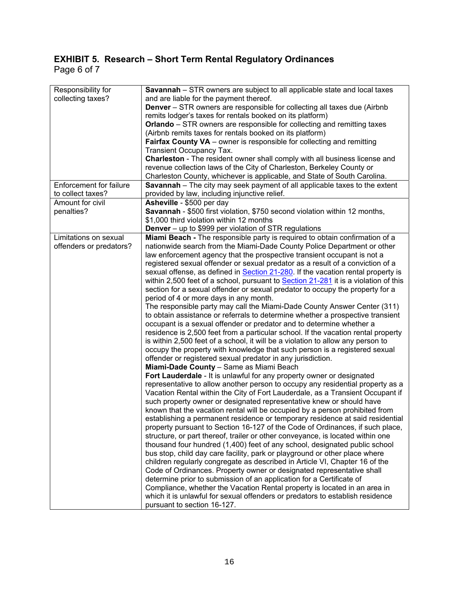### **EXHIBIT 5. Research – Short Term Rental Regulatory Ordinances**  Page 6 of 7

| Responsibility for      | <b>Savannah</b> – STR owners are subject to all applicable state and local taxes                                                                         |
|-------------------------|----------------------------------------------------------------------------------------------------------------------------------------------------------|
| collecting taxes?       | and are liable for the payment thereof.                                                                                                                  |
|                         | <b>Denver</b> – STR owners are responsible for collecting all taxes due (Airbnb)                                                                         |
|                         | remits lodger's taxes for rentals booked on its platform)                                                                                                |
|                         | <b>Orlando</b> – STR owners are responsible for collecting and remitting taxes                                                                           |
|                         | (Airbnb remits taxes for rentals booked on its platform)                                                                                                 |
|                         | Fairfax County VA - owner is responsible for collecting and remitting                                                                                    |
|                         | <b>Transient Occupancy Tax.</b>                                                                                                                          |
|                         | Charleston - The resident owner shall comply with all business license and                                                                               |
|                         | revenue collection laws of the City of Charleston, Berkeley County or                                                                                    |
|                         | Charleston County, whichever is applicable, and State of South Carolina.                                                                                 |
| Enforcement for failure | Savannah - The city may seek payment of all applicable taxes to the extent                                                                               |
| to collect taxes?       | provided by law, including injunctive relief.                                                                                                            |
| Amount for civil        | Asheville - \$500 per day                                                                                                                                |
| penalties?              | Savannah - \$500 first violation, \$750 second violation within 12 months,                                                                               |
|                         | \$1,000 third violation within 12 months                                                                                                                 |
|                         | Denver - up to \$999 per violation of STR regulations                                                                                                    |
| Limitations on sexual   | Miami Beach - The responsible party is required to obtain confirmation of a                                                                              |
| offenders or predators? | nationwide search from the Miami-Dade County Police Department or other                                                                                  |
|                         | law enforcement agency that the prospective transient occupant is not a                                                                                  |
|                         | registered sexual offender or sexual predator as a result of a conviction of a                                                                           |
|                         | sexual offense, as defined in <b>Section 21-280</b> . If the vacation rental property is                                                                 |
|                         | within 2,500 feet of a school, pursuant to Section 21-281 it is a violation of this                                                                      |
|                         | section for a sexual offender or sexual predator to occupy the property for a                                                                            |
|                         | period of 4 or more days in any month.                                                                                                                   |
|                         | The responsible party may call the Miami-Dade County Answer Center (311)                                                                                 |
|                         | to obtain assistance or referrals to determine whether a prospective transient                                                                           |
|                         | occupant is a sexual offender or predator and to determine whether a                                                                                     |
|                         | residence is 2,500 feet from a particular school. If the vacation rental property                                                                        |
|                         | is within 2,500 feet of a school, it will be a violation to allow any person to                                                                          |
|                         | occupy the property with knowledge that such person is a registered sexual                                                                               |
|                         | offender or registered sexual predator in any jurisdiction.                                                                                              |
|                         | Miami-Dade County - Same as Miami Beach                                                                                                                  |
|                         | Fort Lauderdale - It is unlawful for any property owner or designated                                                                                    |
|                         | representative to allow another person to occupy any residential property as a                                                                           |
|                         | Vacation Rental within the City of Fort Lauderdale, as a Transient Occupant if                                                                           |
|                         | such property owner or designated representative knew or should have                                                                                     |
|                         | known that the vacation rental will be occupied by a person prohibited from                                                                              |
|                         | establishing a permanent residence or temporary residence at said residential                                                                            |
|                         | property pursuant to Section 16-127 of the Code of Ordinances, if such place,                                                                            |
|                         | structure, or part thereof, trailer or other conveyance, is located within one                                                                           |
|                         |                                                                                                                                                          |
|                         | thousand four hundred (1,400) feet of any school, designated public school<br>bus stop, child day care facility, park or playground or other place where |
|                         |                                                                                                                                                          |
|                         | children regularly congregate as described in Article VI, Chapter 16 of the                                                                              |
|                         | Code of Ordinances. Property owner or designated representative shall                                                                                    |
|                         | determine prior to submission of an application for a Certificate of                                                                                     |
|                         | Compliance, whether the Vacation Rental property is located in an area in                                                                                |
|                         | which it is unlawful for sexual offenders or predators to establish residence                                                                            |
|                         | pursuant to section 16-127.                                                                                                                              |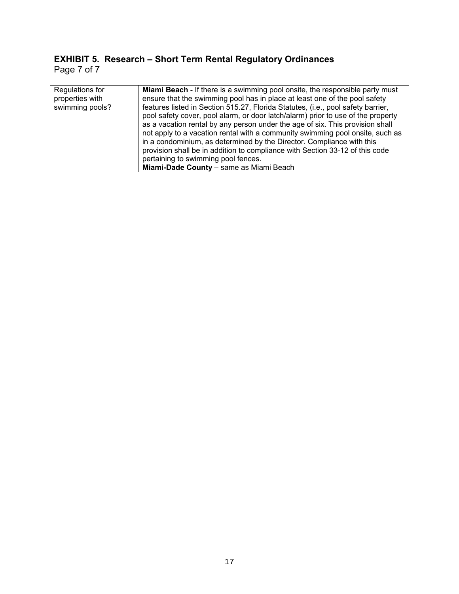### **EXHIBIT 5. Research – Short Term Rental Regulatory Ordinances**  Page 7 of 7

| Regulations for | <b>Miami Beach</b> - If there is a swimming pool onsite, the responsible party must |
|-----------------|-------------------------------------------------------------------------------------|
| properties with | ensure that the swimming pool has in place at least one of the pool safety          |
| swimming pools? | features listed in Section 515.27, Florida Statutes, (i.e., pool safety barrier,    |
|                 | pool safety cover, pool alarm, or door latch/alarm) prior to use of the property    |
|                 | as a vacation rental by any person under the age of six. This provision shall       |
|                 | not apply to a vacation rental with a community swimming pool onsite, such as       |
|                 | in a condominium, as determined by the Director. Compliance with this               |
|                 | provision shall be in addition to compliance with Section 33-12 of this code        |
|                 | pertaining to swimming pool fences.                                                 |
|                 | Miami-Dade County - same as Miami Beach                                             |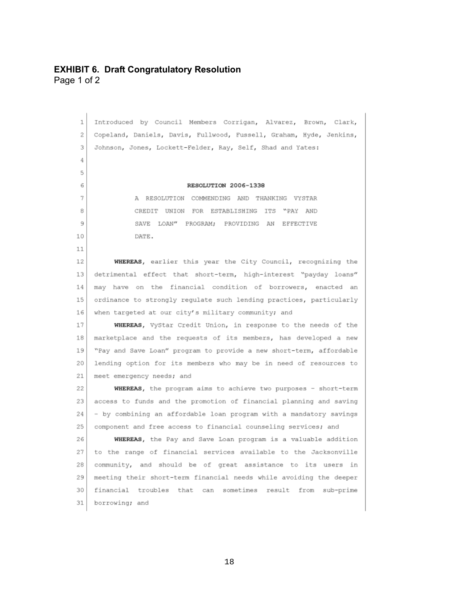### **EXHIBIT 6. Draft Congratulatory Resolution**  Page 1 of 2

Introduced by Council Members Corrigan, Alvarez, Brown, Clark,  $\mathbf{1}$ 2 Copeland, Daniels, Davis, Fullwood, Fussell, Graham, Hyde, Jenkins, Johnson, Jones, Lockett-Felder, Ray, Self, Shad and Yates: 3 4 5 RESOLUTION 2006-1338 6 A RESOLUTION COMMENDING AND THANKING VYSTAR  $\overline{7}$ CREDIT UNION FOR ESTABLISHING ITS "PAY AND 8 9 SAVE LOAN" PROGRAM; PROVIDING AN EFFECTIVE  $10$ DATE.  $11$ WHEREAS, earlier this year the City Council, recognizing the 12 detrimental effect that short-term, high-interest "payday loans" 13 may have on the financial condition of borrowers, enacted an 14 ordinance to strongly regulate such lending practices, particularly  $1.5$ 16 when targeted at our city's military community; and WHEREAS, VyStar Credit Union, in response to the needs of the 17 marketplace and the requests of its members, has developed a new 18 "Pay and Save Loan" program to provide a new short-term, affordable 19 20 lending option for its members who may be in need of resources to 21 meet emergency needs; and 22 WHEREAS, the program aims to achieve two purposes - short-term 23 access to funds and the promotion of financial planning and saving - by combining an affordable loan program with a mandatory savings 24 25 component and free access to financial counseling services; and WHEREAS, the Pay and Save Loan program is a valuable addition 26 27 to the range of financial services available to the Jacksonville 28 community, and should be of great assistance to its users in 29 meeting their short-term financial needs while avoiding the deeper financial troubles that can sometimes result from sub-prime 30 31 borrowing; and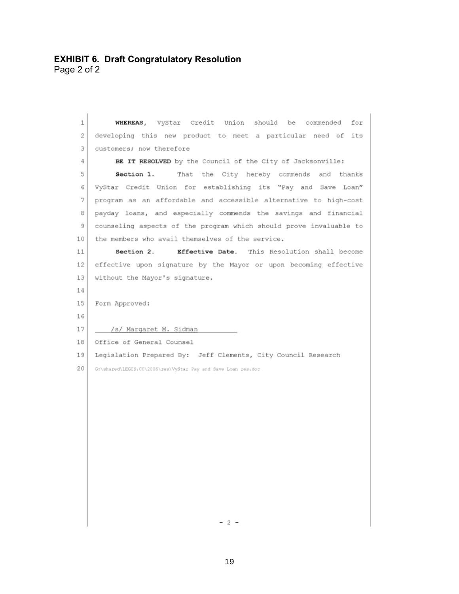| 1  | WHEREAS, VyStar Credit Union should be commended for               |
|----|--------------------------------------------------------------------|
| 2  | developing this new product to meet a particular need of its       |
| 3  | customers; now therefore                                           |
| 4  | BE IT RESOLVED by the Council of the City of Jacksonville:         |
| 5  | That the City hereby commends and thanks<br>Section 1.             |
| 6  | VyStar Credit Union for establishing its "Pay and Save Loan"       |
| 7. | program as an affordable and accessible alternative to high-cost   |
| 8  | payday loans, and especially commends the savings and financial    |
| 9  | counseling aspects of the program which should prove invaluable to |
| 10 | the members who avail themselves of the service.                   |
| 11 | Section 2.<br>Effective Date. This Resolution shall become         |
| 12 | effective upon signature by the Mayor or upon becoming effective   |
| 13 | without the Mayor's signature.                                     |
| 14 |                                                                    |
| 15 | Form Approved:                                                     |
| 16 |                                                                    |
| 17 | /s/ Margaret M. Sidman                                             |
| 18 | Office of General Counsel                                          |
| 19 | Legislation Prepared By: Jeff Clements, City Council Research      |
| 20 | G:\shared\LEGIS.CC\2006\res\VyStar Pay and Save Loan res.doc       |
|    |                                                                    |
|    |                                                                    |
|    |                                                                    |
|    |                                                                    |
|    |                                                                    |
|    |                                                                    |
|    |                                                                    |
|    |                                                                    |
|    |                                                                    |
|    |                                                                    |
|    |                                                                    |
|    | - 2 -                                                              |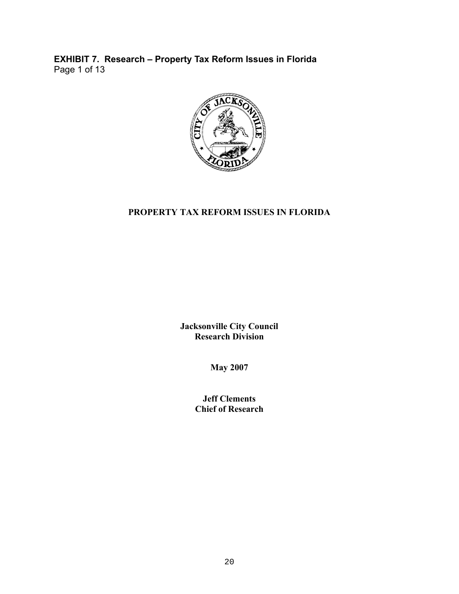**EXHIBIT 7. Research – Property Tax Reform Issues in Florida**  Page 1 of 13



### **PROPERTY TAX REFORM ISSUES IN FLORIDA**

**Jacksonville City Council Research Division** 

**May 2007** 

**Jeff Clements Chief of Research**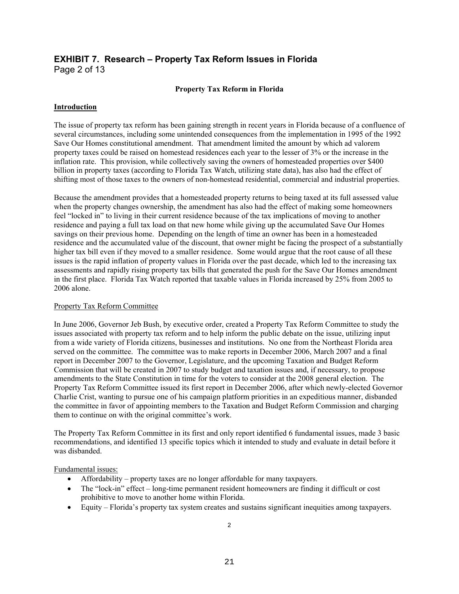### **EXHIBIT 7. Research – Property Tax Reform Issues in Florida**  Page 2 of 13

### **Property Tax Reform in Florida**

### **Introduction**

The issue of property tax reform has been gaining strength in recent years in Florida because of a confluence of several circumstances, including some unintended consequences from the implementation in 1995 of the 1992 Save Our Homes constitutional amendment. That amendment limited the amount by which ad valorem property taxes could be raised on homestead residences each year to the lesser of 3% or the increase in the inflation rate. This provision, while collectively saving the owners of homesteaded properties over \$400 billion in property taxes (according to Florida Tax Watch, utilizing state data), has also had the effect of shifting most of those taxes to the owners of non-homestead residential, commercial and industrial properties.

Because the amendment provides that a homesteaded property returns to being taxed at its full assessed value when the property changes ownership, the amendment has also had the effect of making some homeowners feel "locked in" to living in their current residence because of the tax implications of moving to another residence and paying a full tax load on that new home while giving up the accumulated Save Our Homes savings on their previous home. Depending on the length of time an owner has been in a homesteaded residence and the accumulated value of the discount, that owner might be facing the prospect of a substantially higher tax bill even if they moved to a smaller residence. Some would argue that the root cause of all these issues is the rapid inflation of property values in Florida over the past decade, which led to the increasing tax assessments and rapidly rising property tax bills that generated the push for the Save Our Homes amendment in the first place. Florida Tax Watch reported that taxable values in Florida increased by 25% from 2005 to 2006 alone.

### Property Tax Reform Committee

In June 2006, Governor Jeb Bush, by executive order, created a Property Tax Reform Committee to study the issues associated with property tax reform and to help inform the public debate on the issue, utilizing input from a wide variety of Florida citizens, businesses and institutions. No one from the Northeast Florida area served on the committee. The committee was to make reports in December 2006, March 2007 and a final report in December 2007 to the Governor, Legislature, and the upcoming Taxation and Budget Reform Commission that will be created in 2007 to study budget and taxation issues and, if necessary, to propose amendments to the State Constitution in time for the voters to consider at the 2008 general election. The Property Tax Reform Committee issued its first report in December 2006, after which newly-elected Governor Charlie Crist, wanting to pursue one of his campaign platform priorities in an expeditious manner, disbanded the committee in favor of appointing members to the Taxation and Budget Reform Commission and charging them to continue on with the original committee's work.

The Property Tax Reform Committee in its first and only report identified 6 fundamental issues, made 3 basic recommendations, and identified 13 specific topics which it intended to study and evaluate in detail before it was disbanded.

Fundamental issues:

- Affordability property taxes are no longer affordable for many taxpayers.
- The "lock-in" effect long-time permanent resident homeowners are finding it difficult or cost prohibitive to move to another home within Florida.
- Equity Florida's property tax system creates and sustains significant inequities among taxpayers.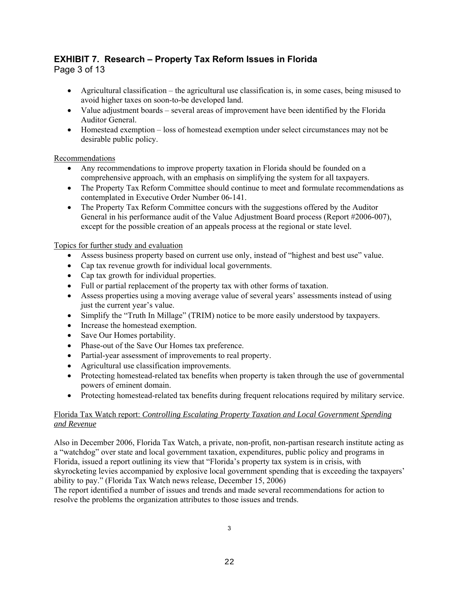### **EXHIBIT 7. Research – Property Tax Reform Issues in Florida**

Page 3 of 13

- Agricultural classification the agricultural use classification is, in some cases, being misused to avoid higher taxes on soon-to-be developed land.
- Value adjustment boards several areas of improvement have been identified by the Florida Auditor General.
- Homestead exemption loss of homestead exemption under select circumstances may not be desirable public policy.

### Recommendations

- Any recommendations to improve property taxation in Florida should be founded on a comprehensive approach, with an emphasis on simplifying the system for all taxpayers.
- The Property Tax Reform Committee should continue to meet and formulate recommendations as contemplated in Executive Order Number 06-141.
- The Property Tax Reform Committee concurs with the suggestions offered by the Auditor General in his performance audit of the Value Adjustment Board process (Report #2006-007), except for the possible creation of an appeals process at the regional or state level.

### Topics for further study and evaluation

- Assess business property based on current use only, instead of "highest and best use" value.
- Cap tax revenue growth for individual local governments.
- Cap tax growth for individual properties.
- Full or partial replacement of the property tax with other forms of taxation.
- Assess properties using a moving average value of several years' assessments instead of using just the current year's value.
- Simplify the "Truth In Millage" (TRIM) notice to be more easily understood by taxpayers.
- Increase the homestead exemption.
- Save Our Homes portability.
- Phase-out of the Save Our Homes tax preference.
- Partial-year assessment of improvements to real property.
- Agricultural use classification improvements.
- Protecting homestead-related tax benefits when property is taken through the use of governmental powers of eminent domain.
- Protecting homestead-related tax benefits during frequent relocations required by military service.

### Florida Tax Watch report: *Controlling Escalating Property Taxation and Local Government Spending and Revenue*

Also in December 2006, Florida Tax Watch, a private, non-profit, non-partisan research institute acting as a "watchdog" over state and local government taxation, expenditures, public policy and programs in Florida, issued a report outlining its view that "Florida's property tax system is in crisis, with skyrocketing levies accompanied by explosive local government spending that is exceeding the taxpayers' ability to pay." (Florida Tax Watch news release, December 15, 2006)

The report identified a number of issues and trends and made several recommendations for action to resolve the problems the organization attributes to those issues and trends.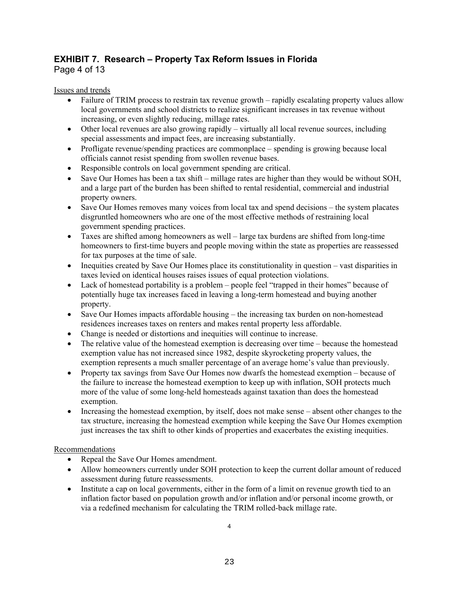### **EXHIBIT 7. Research – Property Tax Reform Issues in Florida**

Page 4 of 13

### Issues and trends

- Failure of TRIM process to restrain tax revenue growth rapidly escalating property values allow local governments and school districts to realize significant increases in tax revenue without increasing, or even slightly reducing, millage rates.
- Other local revenues are also growing rapidly virtually all local revenue sources, including special assessments and impact fees, are increasing substantially.
- Profligate revenue/spending practices are commonplace spending is growing because local officials cannot resist spending from swollen revenue bases.
- Responsible controls on local government spending are critical.
- $\bullet$  Save Our Homes has been a tax shift millage rates are higher than they would be without SOH, and a large part of the burden has been shifted to rental residential, commercial and industrial property owners.
- Save Our Homes removes many voices from local tax and spend decisions the system placates disgruntled homeowners who are one of the most effective methods of restraining local government spending practices.
- Taxes are shifted among homeowners as well large tax burdens are shifted from long-time homeowners to first-time buyers and people moving within the state as properties are reassessed for tax purposes at the time of sale.
- Inequities created by Save Our Homes place its constitutionality in question vast disparities in taxes levied on identical houses raises issues of equal protection violations.
- Lack of homestead portability is a problem people feel "trapped in their homes" because of potentially huge tax increases faced in leaving a long-term homestead and buying another property.
- Save Our Homes impacts affordable housing the increasing tax burden on non-homestead residences increases taxes on renters and makes rental property less affordable.
- Change is needed or distortions and inequities will continue to increase.
- The relative value of the homestead exemption is decreasing over time because the homestead exemption value has not increased since 1982, despite skyrocketing property values, the exemption represents a much smaller percentage of an average home's value than previously.
- Property tax savings from Save Our Homes now dwarfs the homestead exemption because of the failure to increase the homestead exemption to keep up with inflation, SOH protects much more of the value of some long-held homesteads against taxation than does the homestead exemption.
- Increasing the homestead exemption, by itself, does not make sense absent other changes to the tax structure, increasing the homestead exemption while keeping the Save Our Homes exemption just increases the tax shift to other kinds of properties and exacerbates the existing inequities.

### Recommendations

- Repeal the Save Our Homes amendment.
- Allow homeowners currently under SOH protection to keep the current dollar amount of reduced assessment during future reassessments.
- Institute a cap on local governments, either in the form of a limit on revenue growth tied to an inflation factor based on population growth and/or inflation and/or personal income growth, or via a redefined mechanism for calculating the TRIM rolled-back millage rate.

4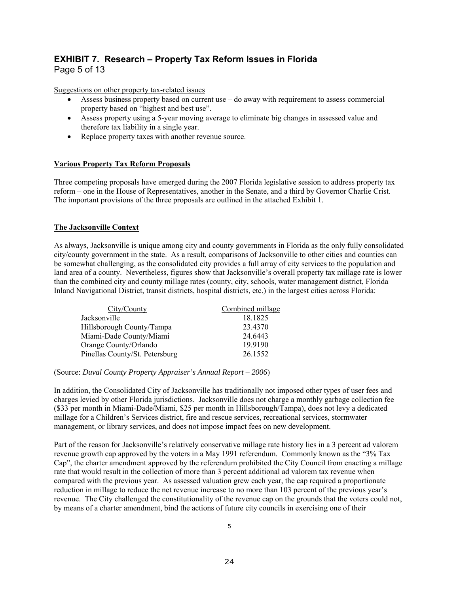### **EXHIBIT 7. Research – Property Tax Reform Issues in Florida**  Page 5 of 13

Suggestions on other property tax-related issues

- Assess business property based on current use do away with requirement to assess commercial property based on "highest and best use".
- Assess property using a 5-year moving average to eliminate big changes in assessed value and therefore tax liability in a single year.
- Replace property taxes with another revenue source.

### **Various Property Tax Reform Proposals**

Three competing proposals have emerged during the 2007 Florida legislative session to address property tax reform – one in the House of Representatives, another in the Senate, and a third by Governor Charlie Crist. The important provisions of the three proposals are outlined in the attached Exhibit 1.

### **The Jacksonville Context**

As always, Jacksonville is unique among city and county governments in Florida as the only fully consolidated city/county government in the state. As a result, comparisons of Jacksonville to other cities and counties can be somewhat challenging, as the consolidated city provides a full array of city services to the population and land area of a county. Nevertheless, figures show that Jacksonville's overall property tax millage rate is lower than the combined city and county millage rates (county, city, schools, water management district, Florida Inland Navigational District, transit districts, hospital districts, etc.) in the largest cities across Florida:

| City/County                    | Combined millage |
|--------------------------------|------------------|
| Jacksonville                   | 18.1825          |
| Hillsborough County/Tampa      | 23.4370          |
| Miami-Dade County/Miami        | 24.6443          |
| Orange County/Orlando          | 19.9190          |
| Pinellas County/St. Petersburg | 26.1552          |

### (Source: *Duval County Property Appraiser's Annual Report – 2006*)

In addition, the Consolidated City of Jacksonville has traditionally not imposed other types of user fees and charges levied by other Florida jurisdictions. Jacksonville does not charge a monthly garbage collection fee (\$33 per month in Miami-Dade/Miami, \$25 per month in Hillsborough/Tampa), does not levy a dedicated millage for a Children's Services district, fire and rescue services, recreational services, stormwater management, or library services, and does not impose impact fees on new development.

Part of the reason for Jacksonville's relatively conservative millage rate history lies in a 3 percent ad valorem revenue growth cap approved by the voters in a May 1991 referendum. Commonly known as the "3% Tax Cap", the charter amendment approved by the referendum prohibited the City Council from enacting a millage rate that would result in the collection of more than 3 percent additional ad valorem tax revenue when compared with the previous year. As assessed valuation grew each year, the cap required a proportionate reduction in millage to reduce the net revenue increase to no more than 103 percent of the previous year's revenue. The City challenged the constitutionality of the revenue cap on the grounds that the voters could not, by means of a charter amendment, bind the actions of future city councils in exercising one of their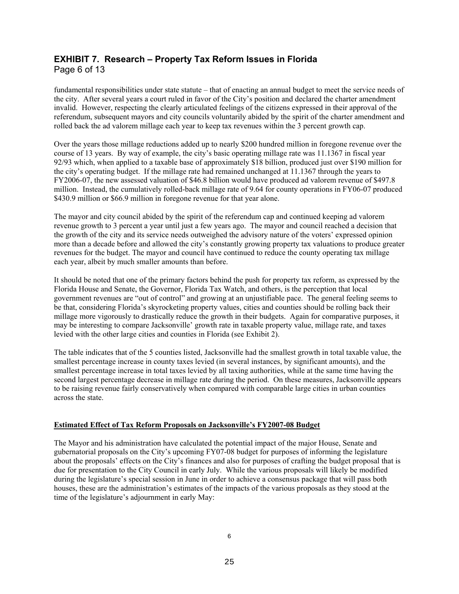### **EXHIBIT 7. Research – Property Tax Reform Issues in Florida**  Page 6 of 13

fundamental responsibilities under state statute – that of enacting an annual budget to meet the service needs of the city. After several years a court ruled in favor of the City's position and declared the charter amendment invalid. However, respecting the clearly articulated feelings of the citizens expressed in their approval of the referendum, subsequent mayors and city councils voluntarily abided by the spirit of the charter amendment and rolled back the ad valorem millage each year to keep tax revenues within the 3 percent growth cap.

Over the years those millage reductions added up to nearly \$200 hundred million in foregone revenue over the course of 13 years. By way of example, the city's basic operating millage rate was 11.1367 in fiscal year 92/93 which, when applied to a taxable base of approximately \$18 billion, produced just over \$190 million for the city's operating budget. If the millage rate had remained unchanged at 11.1367 through the years to FY2006-07, the new assessed valuation of \$46.8 billion would have produced ad valorem revenue of \$497.8 million. Instead, the cumulatively rolled-back millage rate of 9.64 for county operations in FY06-07 produced \$430.9 million or \$66.9 million in foregone revenue for that year alone.

The mayor and city council abided by the spirit of the referendum cap and continued keeping ad valorem revenue growth to 3 percent a year until just a few years ago. The mayor and council reached a decision that the growth of the city and its service needs outweighed the advisory nature of the voters' expressed opinion more than a decade before and allowed the city's constantly growing property tax valuations to produce greater revenues for the budget. The mayor and council have continued to reduce the county operating tax millage each year, albeit by much smaller amounts than before.

It should be noted that one of the primary factors behind the push for property tax reform, as expressed by the Florida House and Senate, the Governor, Florida Tax Watch, and others, is the perception that local government revenues are "out of control" and growing at an unjustifiable pace. The general feeling seems to be that, considering Florida's skyrocketing property values, cities and counties should be rolling back their millage more vigorously to drastically reduce the growth in their budgets. Again for comparative purposes, it may be interesting to compare Jacksonville' growth rate in taxable property value, millage rate, and taxes levied with the other large cities and counties in Florida (see Exhibit 2).

The table indicates that of the 5 counties listed, Jacksonville had the smallest growth in total taxable value, the smallest percentage increase in county taxes levied (in several instances, by significant amounts), and the smallest percentage increase in total taxes levied by all taxing authorities, while at the same time having the second largest percentage decrease in millage rate during the period. On these measures, Jacksonville appears to be raising revenue fairly conservatively when compared with comparable large cities in urban counties across the state.

### **Estimated Effect of Tax Reform Proposals on Jacksonville's FY2007-08 Budget**

The Mayor and his administration have calculated the potential impact of the major House, Senate and gubernatorial proposals on the City's upcoming FY07-08 budget for purposes of informing the legislature about the proposals' effects on the City's finances and also for purposes of crafting the budget proposal that is due for presentation to the City Council in early July. While the various proposals will likely be modified during the legislature's special session in June in order to achieve a consensus package that will pass both houses, these are the administration's estimates of the impacts of the various proposals as they stood at the time of the legislature's adjournment in early May: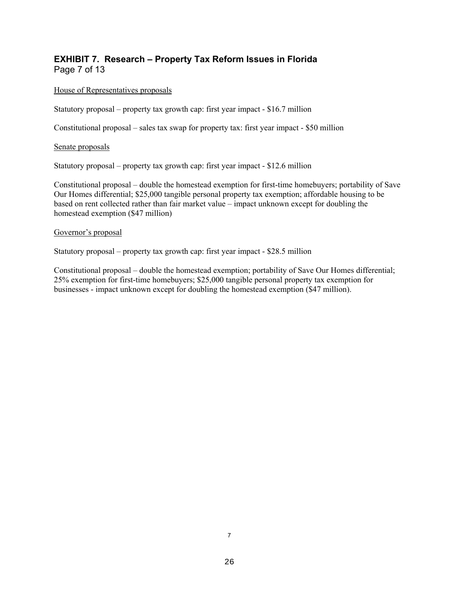### **EXHIBIT 7. Research – Property Tax Reform Issues in Florida**  Page 7 of 13

### House of Representatives proposals

Statutory proposal – property tax growth cap: first year impact - \$16.7 million

Constitutional proposal – sales tax swap for property tax: first year impact - \$50 million

### Senate proposals

Statutory proposal – property tax growth cap: first year impact - \$12.6 million

Constitutional proposal – double the homestead exemption for first-time homebuyers; portability of Save Our Homes differential; \$25,000 tangible personal property tax exemption; affordable housing to be based on rent collected rather than fair market value – impact unknown except for doubling the homestead exemption (\$47 million)

### Governor's proposal

Statutory proposal – property tax growth cap: first year impact - \$28.5 million

Constitutional proposal – double the homestead exemption; portability of Save Our Homes differential; 25% exemption for first-time homebuyers; \$25,000 tangible personal property tax exemption for businesses - impact unknown except for doubling the homestead exemption (\$47 million).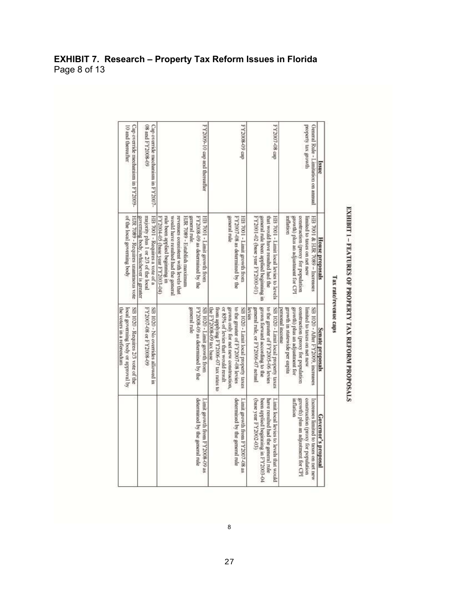### **EXHIBIT 7. Research – Property Tax Reform Issues in Florida**  Page 8 of 13

|                                         | SB 1020 - Requires 2/3 vote of the   | HJR 7089 - Requires unanimous vote     | Cap override mechanism in FY2009-   |
|-----------------------------------------|--------------------------------------|----------------------------------------|-------------------------------------|
|                                         |                                      |                                        |                                     |
|                                         |                                      | governing body, whichever is greater   |                                     |
|                                         | FY200747 10 80-2005 19               | majority plus 1 or 2/3 of the local    | 60-800ZAH P <sup>II</sup> 80        |
|                                         | SB 1020 - No overrides allowed in    | HB 7001 - Requires a vote of a         | Cap override mechanism in FY2007-   |
|                                         |                                      | FY2004-05 (base year FY2003-04)        |                                     |
|                                         |                                      | rule been applied beginning in         |                                     |
|                                         |                                      | would have resulted had the general    |                                     |
|                                         |                                      |                                        |                                     |
|                                         |                                      | revenues consistent with levels that   |                                     |
|                                         |                                      | HJR 7089 - Establish maximum           |                                     |
|                                         | general rule                         | general rule.                          |                                     |
| determined by the general rule          | FY2008-09 as determined by the       | FY2008-09 as determined by the         |                                     |
| Limit growth from FY2008-09 as          | SB 1020 - Limit growth from          | HB 7001 - Limit growth from            | FY2009-10 cap and thereafter        |
|                                         | the FY2008-09 tax base               |                                        |                                     |
|                                         | from applying FY2006-07 tax rates to |                                        |                                     |
|                                         | or 85% of levies that would result   |                                        |                                     |
|                                         | grown only for net new construction, | general rule                           |                                     |
| determined by the general rule          | to the greater of FY2007-08 levies   | FY2007-08 as determined by the         |                                     |
| Limit growth from FY2007-08 as          | SB 1020 - Limit local property taxes | HB 7001 - Limit growth from            | dep 60-800ZAA                       |
|                                         | Revives                              |                                        |                                     |
| (t0-2002-03)                            | general rule, or FY2006-07 actual    | FY2001-02 (base year FY2000-01)        |                                     |
| been applied beginning in FY2003-04     | grown forward according to the       | general rule been applied beginning in |                                     |
| have resulted had the general rule      | to the greater of FY2005-06 levies   | that would have resulted had the       |                                     |
| Limit local levies to levels that would | SB 1020 - Limit local property taxes | HB 7001 - Limit local levies to levels | PY2007-08 cap                       |
|                                         | personal income                      |                                        |                                     |
|                                         | growth in statewide per capita       | milation                               |                                     |
| inflation                               | growth) plus an adjustment for       | growth) plus an adjustment for CPI     |                                     |
| growth) plus an adjustment for CPI      | construction (proxy for population   | construction (proxy for population     |                                     |
| construction (proxy for population      | limited to taxes on net new          | Immited to taxes on net new            | property tax growth                 |
| Increases limited to taxes on net new   | SB 1020 - After FY2009, increases    | HB 7001 & HJR 7089 - Increases         | General Rule - Limitation on annual |
|                                         |                                      |                                        |                                     |
| Governor's proposal                     | Senate proposals                     | House proposals                        | Ssuc                                |

# EXHIBIT 1 - FEATURES OF PROPERTY TAX REFORM PROPOSALS

8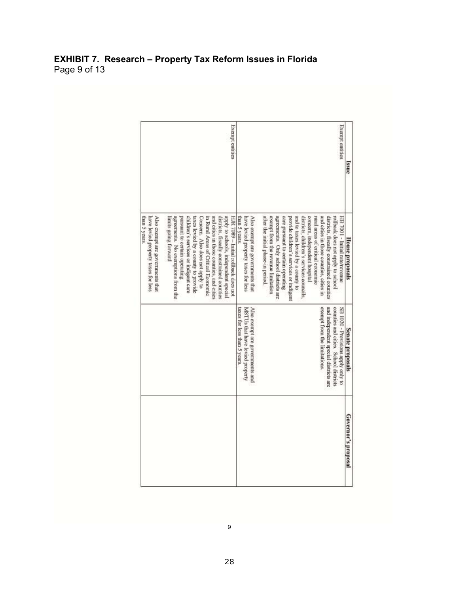### **EXHIBIT 7. Research – Property Tax Reform Issues in Florida**  Page 9 of 13

| ssue                   | Exempt entities                                                                                                                                                                                                                                                                                                                                                                                                                                                                                                         |                               | Exempt entities                                                                                                                                                                                                                                                                                                                                                                                                                                                                                         |
|------------------------|-------------------------------------------------------------------------------------------------------------------------------------------------------------------------------------------------------------------------------------------------------------------------------------------------------------------------------------------------------------------------------------------------------------------------------------------------------------------------------------------------------------------------|-------------------------------|---------------------------------------------------------------------------------------------------------------------------------------------------------------------------------------------------------------------------------------------------------------------------------------------------------------------------------------------------------------------------------------------------------------------------------------------------------------------------------------------------------|
| <b>House</b> proposals | after the initial phase-in period.<br>exempt from the revenue lunitation<br>agreements. Only school districts are<br>districts, children's services councils.<br>concern, independent hospital<br>and cities in those countres, cities in<br>care pursuant to certain operating<br>provide children's services or indigent<br>and to taxes levied by a county to<br>rural areas of critical economic<br>districts, fiscally constrained counties<br>rollback does not apply to school<br>HB 7001 - Initial rate/revenue | than 5 years.                 | HJR 7089 - Initial rollback does not<br>Also exempt are governments that<br>children's services or mdagent care<br>and cities in those counties, and cities<br>districts, fiscally constrained counties<br>apply to schools, independent special<br>have levied property taxes for less<br>agreements. No exemptions from the<br>taxes levied by a county to provide<br>Concern. Also does not apply to<br>pursuant to certain operating<br>in Rural Areas of Critical Economic<br>limits going forward |
| Senate proposals       | exempt from the limitations.<br>and independent special districts are<br>counties and cities. School districts<br>SB 1020 - Provisions apply only to                                                                                                                                                                                                                                                                                                                                                                    | larces for less than 5 years. |                                                                                                                                                                                                                                                                                                                                                                                                                                                                                                         |
| Governor's proposal    |                                                                                                                                                                                                                                                                                                                                                                                                                                                                                                                         |                               |                                                                                                                                                                                                                                                                                                                                                                                                                                                                                                         |

9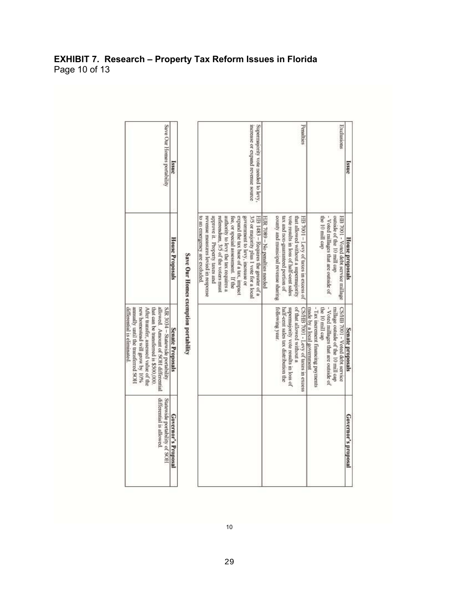| Save Our Homes portability                                                                                                                                                                                                                                       | issue                  |                                      | Supermajority vote needed to levy,<br>increase or expand revenue source                                                                                                                                                                                                                                                                                                                 | Penalties                                                                                                                                                                                                                              | Exclusions                                                                                                                                                                                           | Issue                   |
|------------------------------------------------------------------------------------------------------------------------------------------------------------------------------------------------------------------------------------------------------------------|------------------------|--------------------------------------|-----------------------------------------------------------------------------------------------------------------------------------------------------------------------------------------------------------------------------------------------------------------------------------------------------------------------------------------------------------------------------------------|----------------------------------------------------------------------------------------------------------------------------------------------------------------------------------------------------------------------------------------|------------------------------------------------------------------------------------------------------------------------------------------------------------------------------------------------------|-------------------------|
|                                                                                                                                                                                                                                                                  | <b>House Proposals</b> |                                      | revenue measures levied in response<br>approve it. Property taxes and<br>3/5 or majority plus I vote for a local<br>HB 1483 - Requires the greater of a<br>to an emergency are excluded.<br>referendum, 3/5 of the voters must<br>authority to levy the tax requires a<br>expand the tax base of a tax, impact<br>government to levy, increase or<br>fee, or special assessment. If the | county and municipal revenue sharmge<br>vote results in loss of half-cent sales<br>tax and non-guaranteed portion of<br>that allowed without a supermajority<br>HB 7001 - Levy of taxes in excess of<br>HJR 7089 - No penalties needed | - Voted millages that are outside of<br>the 10 mill cap<br>HB 7001 - Voted debt service millage<br>outside of the 10 mill cap                                                                        | House proposals         |
| After transfer, assessed value of the<br>that can be transferred is \$500,000.<br>annually until the transferred SOH<br>new homestead will grow by 10%<br>allowed. Amount of SOH differential<br>SJR 3034 - Statewide portability<br>differential is eliminated. | Senate Proposals       | Save Our Homes exemption portability |                                                                                                                                                                                                                                                                                                                                                                                         | <b>Tollowing year</b> .<br>of that allowed without a<br>supermajority vote results in loss of<br>half-cent sales tax distribution the<br>CS/HB 7001 - Levy of taxes in excess                                                          | - Tax increment financing payments<br>- Voted millages that are outside of<br>made by a local government<br>the 10 mill cap<br>millage outside of the 10 mill cap<br>CS/HB 7001 - Voted debt service | <b>Senate proposals</b> |
| differential is allowed.<br>Statewide portability of SOH                                                                                                                                                                                                         | Governor's Proposal    |                                      |                                                                                                                                                                                                                                                                                                                                                                                         |                                                                                                                                                                                                                                        |                                                                                                                                                                                                      | Governor's proposal     |

### **EXHIBIT 7. Research – Property Tax Reform Issues in Florida**  Page 10 of 13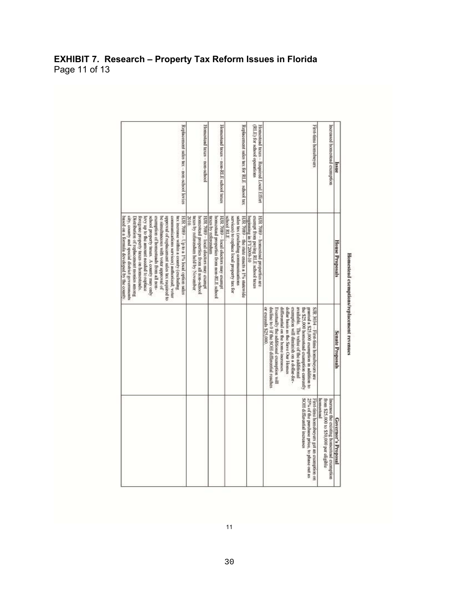### **EXHIBIT 7. Research – Property Tax Reform Issues in Florida**  Page 11 of 13

| Issue                                                                  | <b>House Proposals</b>                                                                                                                                                                                                                                                                                                                                                                                                                                                                              | Senate Proposals                                                                                                                                                                                                                                                                                                                                                                                                       | Governor's Proposal                                                                                                   |
|------------------------------------------------------------------------|-----------------------------------------------------------------------------------------------------------------------------------------------------------------------------------------------------------------------------------------------------------------------------------------------------------------------------------------------------------------------------------------------------------------------------------------------------------------------------------------------------|------------------------------------------------------------------------------------------------------------------------------------------------------------------------------------------------------------------------------------------------------------------------------------------------------------------------------------------------------------------------------------------------------------------------|-----------------------------------------------------------------------------------------------------------------------|
| Increased homestead exemption                                          |                                                                                                                                                                                                                                                                                                                                                                                                                                                                                                     |                                                                                                                                                                                                                                                                                                                                                                                                                        | hamestead<br>from \$25,000 to \$50,000 per eligible<br>Increase the existing homestead exemption                      |
| First-time homebayers                                                  |                                                                                                                                                                                                                                                                                                                                                                                                                                                                                                     | dollar basis as the Save Our Homes<br>decline to 0 if the SOH differential reaches<br>exemption will diminish on a dollar-for-<br>available. The value of the additional<br>SJR 3034 - First-time homebuyers are<br>or exceeds \$25,000<br>Eventually the additional exemption will<br>differential on the home increases.<br>the \$25,000 homested exemption currently<br>granted a \$25,000 exemption in addition to | SOH differential increases<br>25% of the purchase prior, to phase out as<br>First-time homebayers get an exemption on |
| Homestead taxes - Required Local Effort<br>(RLE) for school operations | HJR 7089 - homestead properties are<br>exempt from paying RLE sehool taxes<br>beginning in FY2009-10                                                                                                                                                                                                                                                                                                                                                                                                |                                                                                                                                                                                                                                                                                                                                                                                                                        |                                                                                                                       |
| Replacement sales tax for RLE school tax                               | school RLE.<br>services) to replace local property tax for<br>sales tax (excluding communications<br>HJR. 7089 - the state enacts a 1% statewide                                                                                                                                                                                                                                                                                                                                                    |                                                                                                                                                                                                                                                                                                                                                                                                                        |                                                                                                                       |
| Homestead taxes - non-RLE school taxes                                 | taxes by referendum<br>HJR 7089 - local electors may exempt<br>homestead properties from non-RLE school                                                                                                                                                                                                                                                                                                                                                                                             |                                                                                                                                                                                                                                                                                                                                                                                                                        |                                                                                                                       |
| Homestead taxes - non-school                                           | laxes by referendum held by November<br>HJR 7089 - local electors may exempt<br>homestead properties from all non-school                                                                                                                                                                                                                                                                                                                                                                            |                                                                                                                                                                                                                                                                                                                                                                                                                        |                                                                                                                       |
| Replacement sales tax - non-school levies                              | HJR 7089 - Up to a 1% local option sales<br>city, county and special district governments<br>school property taxes. A county may only<br>exemption of homesteads from all non-<br>approval of replacement sales tax required to<br>communications services) authorized; voter<br>lax increase within a county (excluding<br>Foregone property taxes on homesteads.<br>levy up to the amount needed to replace<br>be simultaneous with voter approval of<br>Distribution of replacement monies among |                                                                                                                                                                                                                                                                                                                                                                                                                        |                                                                                                                       |

## Homestead exemptions/replacement revenues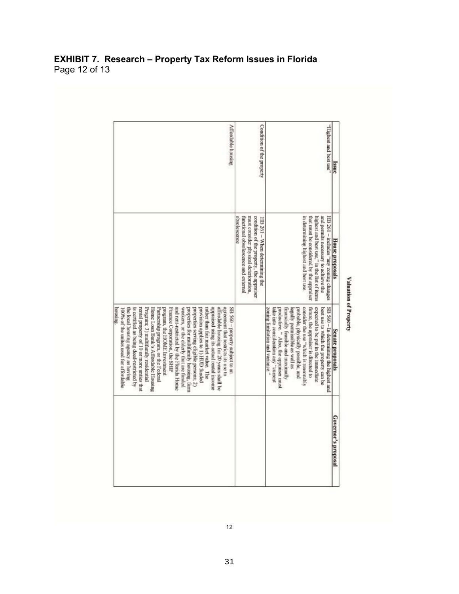|               | <b>EXHIBIT 7. Research - Property Tax Reform Issues in Florida</b> |  |
|---------------|--------------------------------------------------------------------|--|
| Page 12 of 13 |                                                                    |  |

| <b>Issue</b>              | <b>House</b> proposals                                                                                                                                                                                          | Senate proposals                                                                                                                                                                                                                                                                                                                                                                                                                                                                                                                                                                                                                                                                                                                                                                                         | Governor's proposal |
|---------------------------|-----------------------------------------------------------------------------------------------------------------------------------------------------------------------------------------------------------------|----------------------------------------------------------------------------------------------------------------------------------------------------------------------------------------------------------------------------------------------------------------------------------------------------------------------------------------------------------------------------------------------------------------------------------------------------------------------------------------------------------------------------------------------------------------------------------------------------------------------------------------------------------------------------------------------------------------------------------------------------------------------------------------------------------|---------------------|
| "set test and best use"   | m determining highest and best use.<br>HB 261 - includes "any zoning changes<br>highest and best use," in the list of items<br>and permits necessary to achieve the<br>that must be considered by the appraiser | consider the use "which is reasonably<br>expected to be put in the immediate<br>SB 560 - In determining the highest and<br>zoning limitation and variance."<br>probable, physically possible, and<br>future, the appraiser is directed to<br>best use to which the property can be<br>take mio consideration any "current<br>productive. " Also, the appraiser must<br>financially feasible and maximally<br>legally permissible as well as                                                                                                                                                                                                                                                                                                                                                              |                     |
| Condition of the property | obsolescence<br>must consider physical deterioration,<br>condition of the property, the appraiser<br>functional obsolescence and external<br>HB 261 - When determining the                                      |                                                                                                                                                                                                                                                                                                                                                                                                                                                                                                                                                                                                                                                                                                                                                                                                          |                     |
| <b>Affordable</b> housing |                                                                                                                                                                                                                 | appraised using its actual rental income<br>is certified as being deed-restricted by<br>rental property of 10 or more unties that<br>workers, or the elderly that are funded<br>rather than fair market value. The<br>affordable housing for 20 years shall be<br>agreement that restricts its use to<br>SB 560 - property subject to an<br>the local housing agency as having<br>Program; 3) multifamily residential<br>Home Loan Bank's Affordable Housing<br>Partnership program, or the Federal<br>program, the HOME Investment<br>Futunce Corporation, the SHIP<br>and rent-restricted by the Florida Home<br>properties for multifamily housing, farm<br>properties serving eligible persons, 2)<br>provision applies to 1) HUD funded<br><b>BOUSING</b><br>100% of the unites used for affordable |                     |

### Valuation of Property